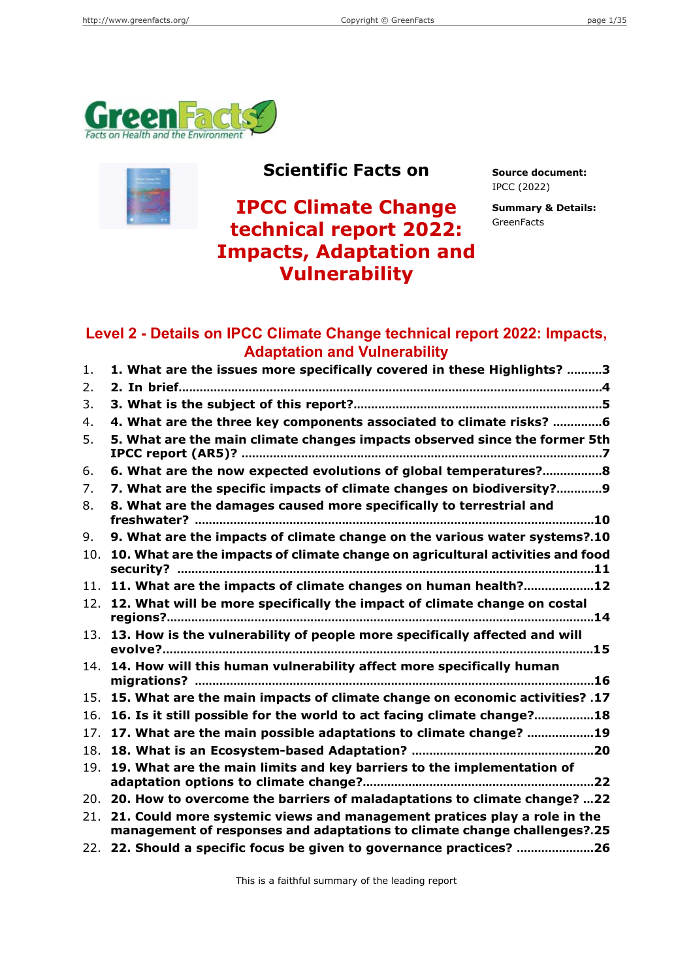



## **Scientific Facts on Source document:**

**IPCC Climate Change technical report 2022: Impacts, Adaptation and Vulnerability**

IPCC (2022)

**Summary & Details: GreenFacts** 

## **Level 2 - Details on IPCC Climate Change technical report 2022: Impacts, Adaptation and Vulnerability**

| 1.  | 1. What are the issues more specifically covered in these Highlights? 3                                                                                  |
|-----|----------------------------------------------------------------------------------------------------------------------------------------------------------|
| 2.  |                                                                                                                                                          |
| 3.  |                                                                                                                                                          |
| 4.  | 4. What are the three key components associated to climate risks? 6                                                                                      |
| 5.  | 5. What are the main climate changes impacts observed since the former 5th                                                                               |
| 6.  | 6. What are the now expected evolutions of global temperatures?8                                                                                         |
| 7.  | 7. What are the specific impacts of climate changes on biodiversity?9                                                                                    |
| 8.  | 8. What are the damages caused more specifically to terrestrial and                                                                                      |
|     |                                                                                                                                                          |
| 9.  | 9. What are the impacts of climate change on the various water systems?.10                                                                               |
| 10. | 10. What are the impacts of climate change on agricultural activities and food                                                                           |
|     | 11. 11. What are the impacts of climate changes on human health?12                                                                                       |
|     | 12. 12. What will be more specifically the impact of climate change on costal                                                                            |
|     | 13. 13. How is the vulnerability of people more specifically affected and will                                                                           |
|     | 14. 14. How will this human vulnerability affect more specifically human                                                                                 |
| 15. | 17. What are the main impacts of climate change on economic activities? 17                                                                               |
| 16. | 16. Is it still possible for the world to act facing climate change?18                                                                                   |
| 17. | 17. What are the main possible adaptations to climate change? 19                                                                                         |
| 18. |                                                                                                                                                          |
| 19. | 19. What are the main limits and key barriers to the implementation of                                                                                   |
|     | 20. 20. How to overcome the barriers of maladaptations to climate change? 22                                                                             |
|     | 21. 21. Could more systemic views and management pratices play a role in the<br>management of responses and adaptations to climate change challenges?.25 |
|     | 22. 22. Should a specific focus be given to governance practices? 26                                                                                     |

This is a faithful summary of the leading report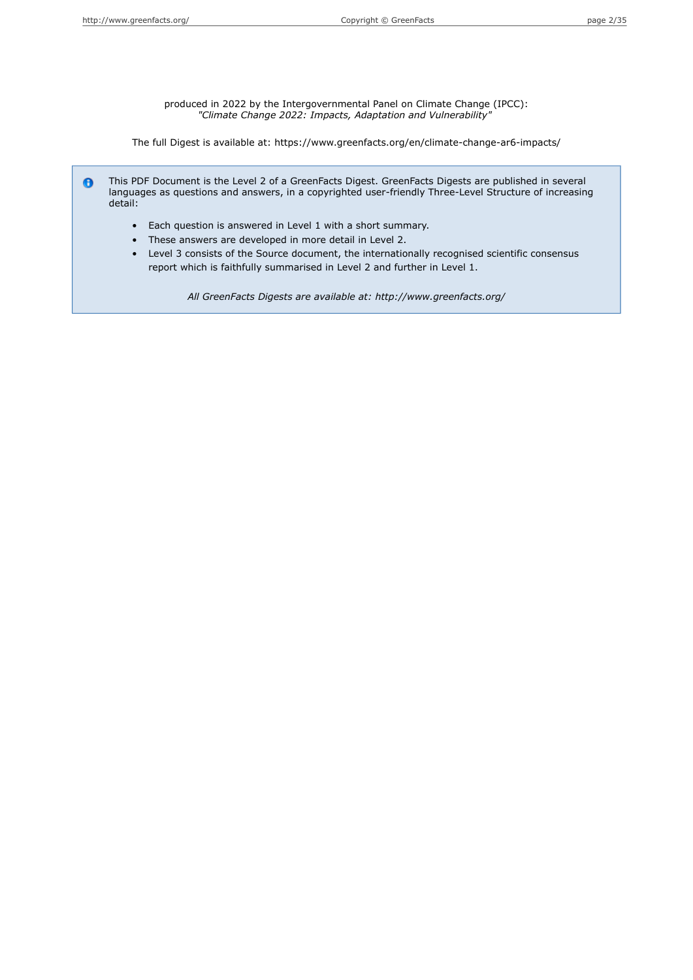produced in 2022 by the Intergovernmental Panel on Climate Change (IPCC): *"Climate Change 2022: Impacts, Adaptation and Vulnerability"*

The full Digest is available at: https://www.greenfacts.org/en/climate-change-ar6-impacts/

This PDF Document is the Level 2 of a GreenFacts Digest. GreenFacts Digests are published in several  $\bullet$ languages as questions and answers, in a copyrighted user-friendly Three-Level Structure of increasing detail:

- Each question is answered in Level 1 with a short summary.
- These answers are developed in more detail in Level 2.
- Level 3 consists of the Source document, the internationally recognised scientific consensus report which is faithfully summarised in Level 2 and further in Level 1.

*All GreenFacts Digests are available at: http://www.greenfacts.org/*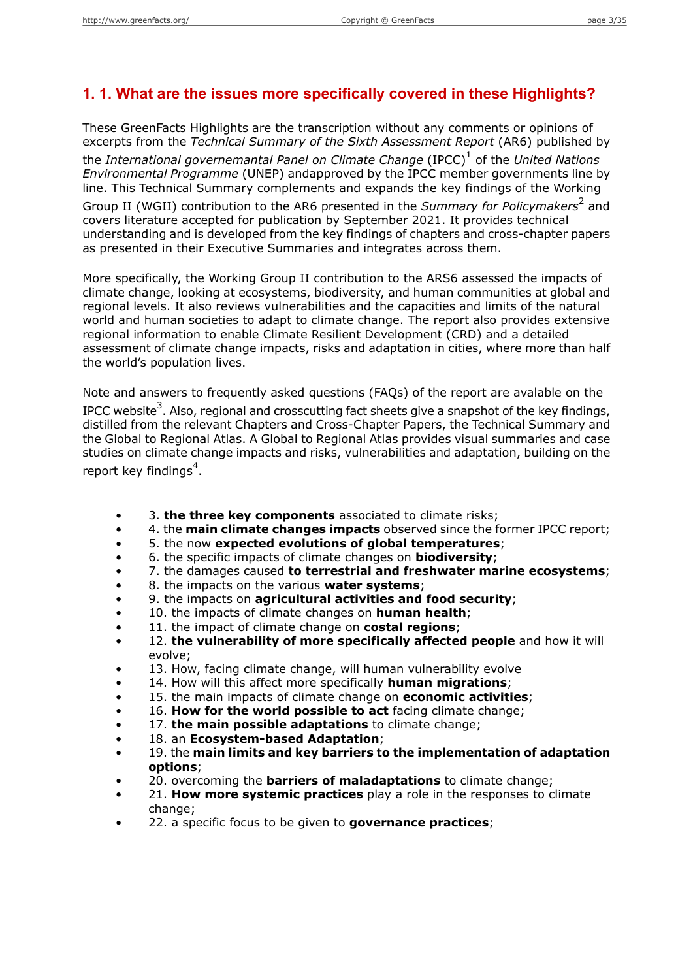#### **1. 1. What are the issues more specifically covered in these Highlights?**

These GreenFacts Highlights are the transcription without any comments or opinions of excerpts from the *Technical Summary of the Sixth Assessment Report* (AR6) published by the *International governemantal Panel on Climate Change* (IPCC)<sup>1</sup> of the *United Nations Environmental Programme* (UNEP) andapproved by the IPCC member governments line by line. This Technical Summary complements and expands the key findings of the Working Group II (WGII) contribution to the AR6 presented in the Summary for Policymakers<sup>2</sup> and covers literature accepted for publication by September 2021. It provides technical understanding and is developed from the key findings of chapters and cross-chapter papers as presented in their Executive Summaries and integrates across them.

More specifically, the Working Group II contribution to the ARS6 assessed the impacts of climate change, looking at ecosystems, biodiversity, and human communities at global and regional levels. It also reviews vulnerabilities and the capacities and limits of the natural world and human societies to adapt to climate change. The report also provides extensive regional information to enable Climate Resilient Development (CRD) and a detailed assessment of climate change impacts, risks and adaptation in cities, where more than half the world's population lives.

Note and answers to frequently asked questions (FAQs) of the report are avalable on the IPCC website<sup>3</sup>. Also, regional and crosscutting fact sheets give a snapshot of the key findings, distilled from the relevant Chapters and Cross-Chapter Papers, the Technical Summary and the Global to Regional Atlas. A Global to Regional Atlas provides visual summaries and case studies on climate change impacts and risks, vulnerabilities and adaptation, building on the report key findings<sup>4</sup>.

- 3. **the three key components** associated to climate risks;
- 4. the **main climate changes impacts** observed since the former IPCC report;
- 5. the now **expected evolutions of global temperatures**;
- 6. the specific impacts of climate changes on **biodiversity**;
- 7. the damages caused **to terrestrial and freshwater marine ecosystems**;
- 8. the impacts on the various **water systems**;
- 9. the impacts on **agricultural activities and food security**;
- 10. the impacts of climate changes on **human health**;
- 11. the impact of climate change on **costal regions**;
- 12. **the vulnerability of more specifically affected people** and how it will evolve;
- 13. How, facing climate change, will human vulnerability evolve
- 14. How will this affect more specifically **human migrations**;
- 15. the main impacts of climate change on **economic activities**;
- 16. **How for the world possible to act** facing climate change;
- 17. **the main possible adaptations** to climate change;
- 18. an **Ecosystem-based Adaptation**;
- 19. the **main limits and key barriers to the implementation of adaptation options**;
- 20. overcoming the **barriers of maladaptations** to climate change;
- 21. **How more systemic practices** play a role in the responses to climate change;
- 22. a specific focus to be given to **governance practices**;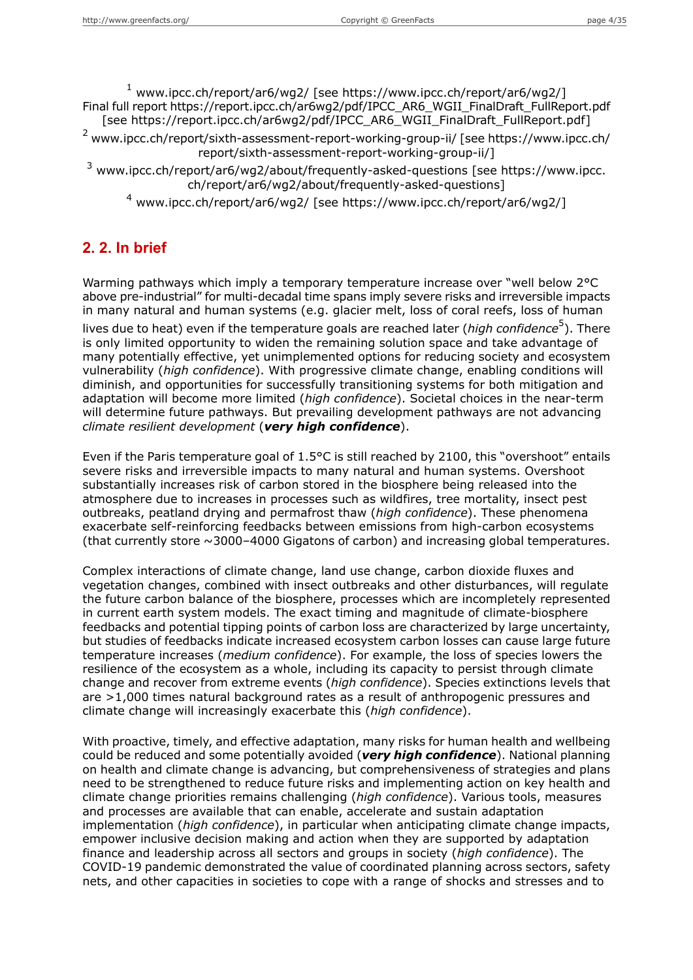<sup>1</sup> www.ipcc.ch/report/ar6/wg2/ [see https://www.ipcc.ch/report/ar6/wg2/] Final full report https://report.ipcc.ch/ar6wg2/pdf/IPCC\_AR6\_WGII\_FinalDraft\_FullReport.pdf [see https://report.ipcc.ch/ar6wg2/pdf/IPCC\_AR6\_WGII\_FinalDraft\_FullReport.pdf]

<sup>2</sup> www.ipcc.ch/report/sixth-assessment-report-working-group-ii/ [see https://www.ipcc.ch/ report/sixth-assessment-report-working-group-ii/]

<sup>3</sup> www.ipcc.ch/report/ar6/wg2/about/frequently-asked-questions [see https://www.ipcc. ch/report/ar6/wg2/about/frequently-asked-questions]

<sup>4</sup> www.ipcc.ch/report/ar6/wg2/ [see https://www.ipcc.ch/report/ar6/wg2/]

## **2. 2. In brief**

Warming pathways which imply a temporary temperature increase over "well below 2°C above pre-industrial" for multi-decadal time spans imply severe risks and irreversible impacts in many natural and human systems (e.g. glacier melt, loss of coral reefs, loss of human lives due to heat) even if the temperature goals are reached later (*high confidence*<sup>5</sup>). There is only limited opportunity to widen the remaining solution space and take advantage of many potentially effective, yet unimplemented options for reducing society and ecosystem vulnerability (*high confidence*). With progressive climate change, enabling conditions will diminish, and opportunities for successfully transitioning systems for both mitigation and adaptation will become more limited (*high confidence*). Societal choices in the near-term will determine future pathways. But prevailing development pathways are not advancing *climate resilient development* (*very high confidence*).

Even if the Paris temperature goal of 1.5°C is still reached by 2100, this "overshoot" entails severe risks and irreversible impacts to many natural and human systems. Overshoot substantially increases risk of carbon stored in the biosphere being released into the atmosphere due to increases in processes such as wildfires, tree mortality, insect pest outbreaks, peatland drying and permafrost thaw (*high confidence*). These phenomena exacerbate self-reinforcing feedbacks between emissions from high-carbon ecosystems (that currently store ~3000–4000 Gigatons of carbon) and increasing global temperatures.

Complex interactions of climate change, land use change, carbon dioxide fluxes and vegetation changes, combined with insect outbreaks and other disturbances, will regulate the future carbon balance of the biosphere, processes which are incompletely represented in current earth system models. The exact timing and magnitude of climate-biosphere feedbacks and potential tipping points of carbon loss are characterized by large uncertainty, but studies of feedbacks indicate increased ecosystem carbon losses can cause large future temperature increases (*medium confidence*). For example, the loss of species lowers the resilience of the ecosystem as a whole, including its capacity to persist through climate change and recover from extreme events (*high confidence*). Species extinctions levels that are >1,000 times natural background rates as a result of anthropogenic pressures and climate change will increasingly exacerbate this (*high confidence*).

With proactive, timely, and effective adaptation, many risks for human health and wellbeing could be reduced and some potentially avoided (*very high confidence*). National planning on health and climate change is advancing, but comprehensiveness of strategies and plans need to be strengthened to reduce future risks and implementing action on key health and climate change priorities remains challenging (*high confidence*). Various tools, measures and processes are available that can enable, accelerate and sustain adaptation implementation (*high confidence*), in particular when anticipating climate change impacts, empower inclusive decision making and action when they are supported by adaptation finance and leadership across all sectors and groups in society (*high confidence*). The COVID-19 pandemic demonstrated the value of coordinated planning across sectors, safety nets, and other capacities in societies to cope with a range of shocks and stresses and to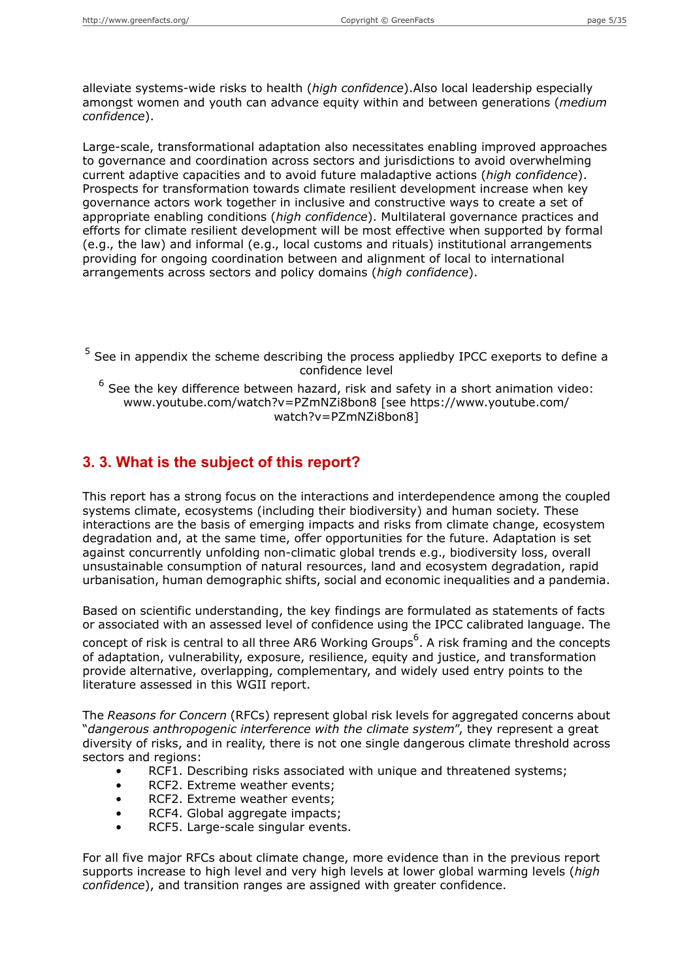alleviate systems-wide risks to health (*high confidence*).Also local leadership especially amongst women and youth can advance equity within and between generations (*medium confidence*).

Large-scale, transformational adaptation also necessitates enabling improved approaches to governance and coordination across sectors and jurisdictions to avoid overwhelming current adaptive capacities and to avoid future maladaptive actions (*high confidence*). Prospects for transformation towards climate resilient development increase when key governance actors work together in inclusive and constructive ways to create a set of appropriate enabling conditions (*high confidence*). Multilateral governance practices and efforts for climate resilient development will be most effective when supported by formal (e.g., the law) and informal (e.g., local customs and rituals) institutional arrangements providing for ongoing coordination between and alignment of local to international arrangements across sectors and policy domains (*high confidence*).

<sup>5</sup> See in appendix the scheme describing the process appliedby IPCC exeports to define a confidence level

 $^6$  See the key difference between hazard, risk and safety in a short animation video: www.youtube.com/watch?v=PZmNZi8bon8 [see https://www.youtube.com/ watch?v=PZmNZi8bon8]

#### **3. 3. What is the subject of this report?**

This report has a strong focus on the interactions and interdependence among the coupled systems climate, ecosystems (including their biodiversity) and human society. These interactions are the basis of emerging impacts and risks from climate change, ecosystem degradation and, at the same time, offer opportunities for the future. Adaptation is set against concurrently unfolding non-climatic global trends e.g., biodiversity loss, overall unsustainable consumption of natural resources, land and ecosystem degradation, rapid urbanisation, human demographic shifts, social and economic inequalities and a pandemia.

Based on scientific understanding, the key findings are formulated as statements of facts or associated with an assessed level of confidence using the IPCC calibrated language. The

concept of risk is central to all three AR6 Working Groups<sup>6</sup>. A risk framing and the concepts of adaptation, vulnerability, exposure, resilience, equity and justice, and transformation provide alternative, overlapping, complementary, and widely used entry points to the literature assessed in this WGII report.

The *Reasons for Concern* (RFCs) represent global risk levels for aggregated concerns about "*dangerous anthropogenic interference with the climate system*", they represent a great diversity of risks, and in reality, there is not one single dangerous climate threshold across sectors and regions:

- RCF1. Describing risks associated with unique and threatened systems;
- RCF2. Extreme weather events;
- RCF2. Extreme weather events;
- RCF4. Global aggregate impacts;
- RCF5. Large-scale singular events.

For all five major RFCs about climate change, more evidence than in the previous report supports increase to high level and very high levels at lower global warming levels (*high confidence*), and transition ranges are assigned with greater confidence.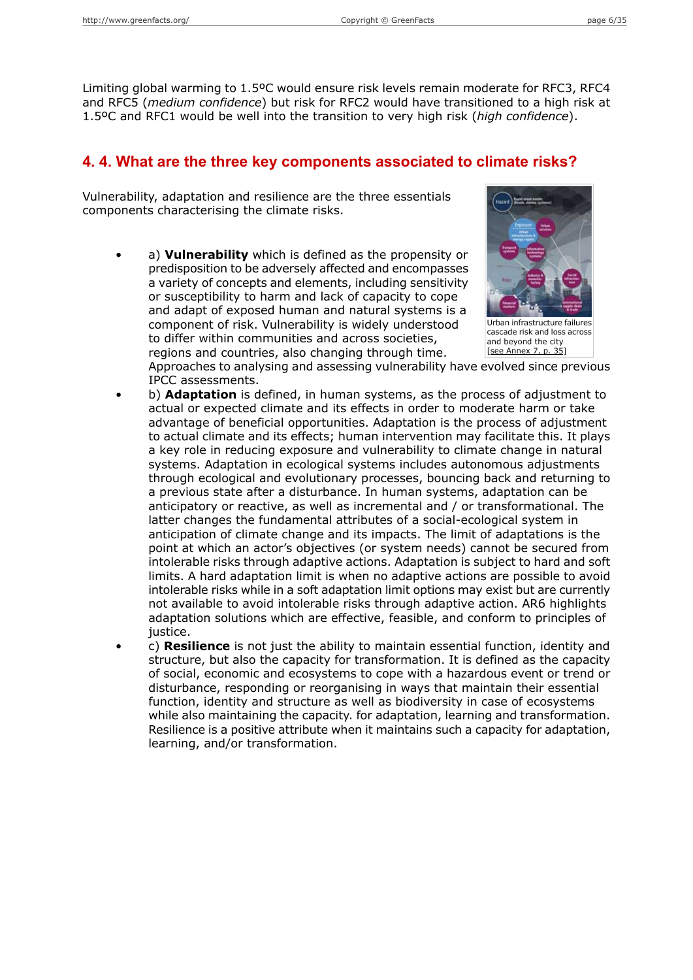Limiting global warming to 1.5ºC would ensure risk levels remain moderate for RFC3, RFC4 and RFC5 (*medium confidence*) but risk for RFC2 would have transitioned to a high risk at 1.5ºC and RFC1 would be well into the transition to very high risk (*high confidence*).

### **4. 4. What are the three key components associated to climate risks?**

Vulnerability, adaptation and resilience are the three essentials components characterising the climate risks.

• a) **Vulnerability** which is defined as the propensity or predisposition to be adversely affected and encompasses a variety of concepts and elements, including sensitivity or susceptibility to harm and lack of capacity to cope and adapt of exposed human and natural systems is a component of risk. Vulnerability is widely understood to differ within communities and across societies, regions and countries, also changing through time.



Urban infrastructure failures cascade risk and loss across and beyond the city [see [Annex](#page-34-0) 7, p. 35]

Approaches to analysing and assessing vulnerability have evolved since previous IPCC assessments.

- b) **Adaptation** is defined, in human systems, as the process of adjustment to actual or expected climate and its effects in order to moderate harm or take advantage of beneficial opportunities. Adaptation is the process of adjustment to actual climate and its effects; human intervention may facilitate this. It plays a key role in reducing exposure and vulnerability to climate change in natural systems. Adaptation in ecological systems includes autonomous adjustments through ecological and evolutionary processes, bouncing back and returning to a previous state after a disturbance. In human systems, adaptation can be anticipatory or reactive, as well as incremental and / or transformational. The latter changes the fundamental attributes of a social-ecological system in anticipation of climate change and its impacts. The limit of adaptations is the point at which an actor's objectives (or system needs) cannot be secured from intolerable risks through adaptive actions. Adaptation is subject to hard and soft limits. A hard adaptation limit is when no adaptive actions are possible to avoid intolerable risks while in a soft adaptation limit options may exist but are currently not available to avoid intolerable risks through adaptive action. AR6 highlights adaptation solutions which are effective, feasible, and conform to principles of justice.
- c) **Resilience** is not just the ability to maintain essential function, identity and structure, but also the capacity for transformation. It is defined as the capacity of social, economic and ecosystems to cope with a hazardous event or trend or disturbance, responding or reorganising in ways that maintain their essential function, identity and structure as well as biodiversity in case of ecosystems while also maintaining the capacity. for adaptation, learning and transformation. Resilience is a positive attribute when it maintains such a capacity for adaptation, learning, and/or transformation.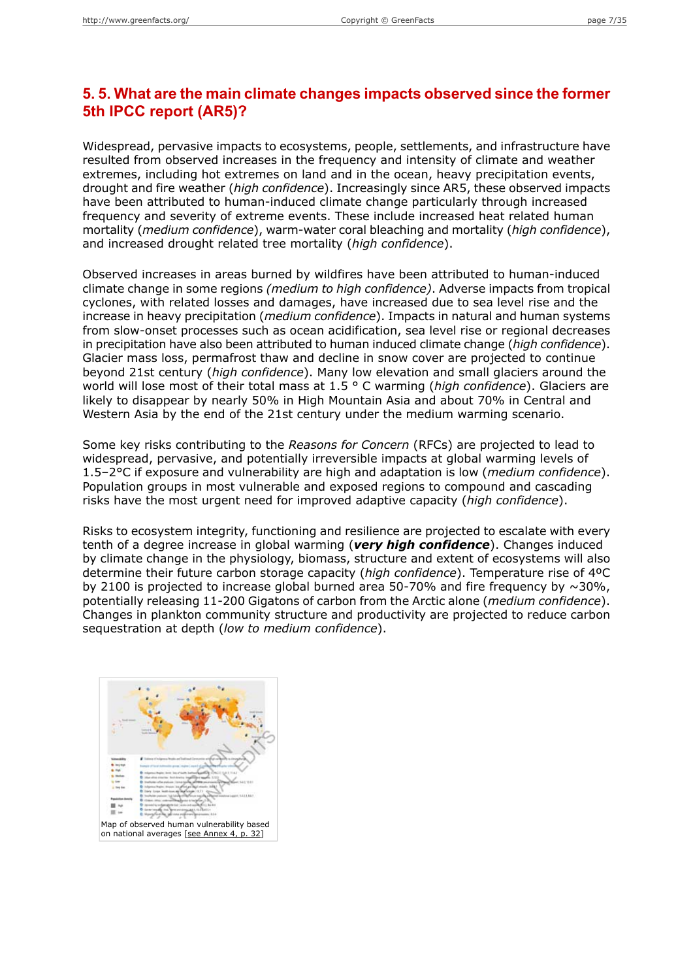## **5. 5. What are the main climate changes impacts observed since the former 5th IPCC report (AR5)?**

Widespread, pervasive impacts to ecosystems, people, settlements, and infrastructure have resulted from observed increases in the frequency and intensity of climate and weather extremes, including hot extremes on land and in the ocean, heavy precipitation events, drought and fire weather (*high confidence*). Increasingly since AR5, these observed impacts have been attributed to human-induced climate change particularly through increased frequency and severity of extreme events. These include increased heat related human mortality (*medium confidence*), warm-water coral bleaching and mortality (*high confidence*), and increased drought related tree mortality (*high confidence*).

Observed increases in areas burned by wildfires have been attributed to human-induced climate change in some regions *(medium to high confidence)*. Adverse impacts from tropical cyclones, with related losses and damages, have increased due to sea level rise and the increase in heavy precipitation (*medium confidence*). Impacts in natural and human systems from slow-onset processes such as ocean acidification, sea level rise or regional decreases in precipitation have also been attributed to human induced climate change (*high confidence*). Glacier mass loss, permafrost thaw and decline in snow cover are projected to continue beyond 21st century (*high confidence*). Many low elevation and small glaciers around the world will lose most of their total mass at 1.5 ° C warming (*high confidence*). Glaciers are likely to disappear by nearly 50% in High Mountain Asia and about 70% in Central and Western Asia by the end of the 21st century under the medium warming scenario.

Some key risks contributing to the *Reasons for Concern* (RFCs) are projected to lead to widespread, pervasive, and potentially irreversible impacts at global warming levels of 1.5–2°C if exposure and vulnerability are high and adaptation is low (*medium confidence*). Population groups in most vulnerable and exposed regions to compound and cascading risks have the most urgent need for improved adaptive capacity (*high confidence*).

Risks to ecosystem integrity, functioning and resilience are projected to escalate with every tenth of a degree increase in global warming (*very high confidence*). Changes induced by climate change in the physiology, biomass, structure and extent of ecosystems will also determine their future carbon storage capacity (*high confidence*). Temperature rise of 4ºC by 2100 is projected to increase global burned area 50-70% and fire frequency by  $\sim$ 30%, potentially releasing 11-200 Gigatons of carbon from the Arctic alone (*medium confidence*). Changes in plankton community structure and productivity are projected to reduce carbon sequestration at depth (*low to medium confidence*).

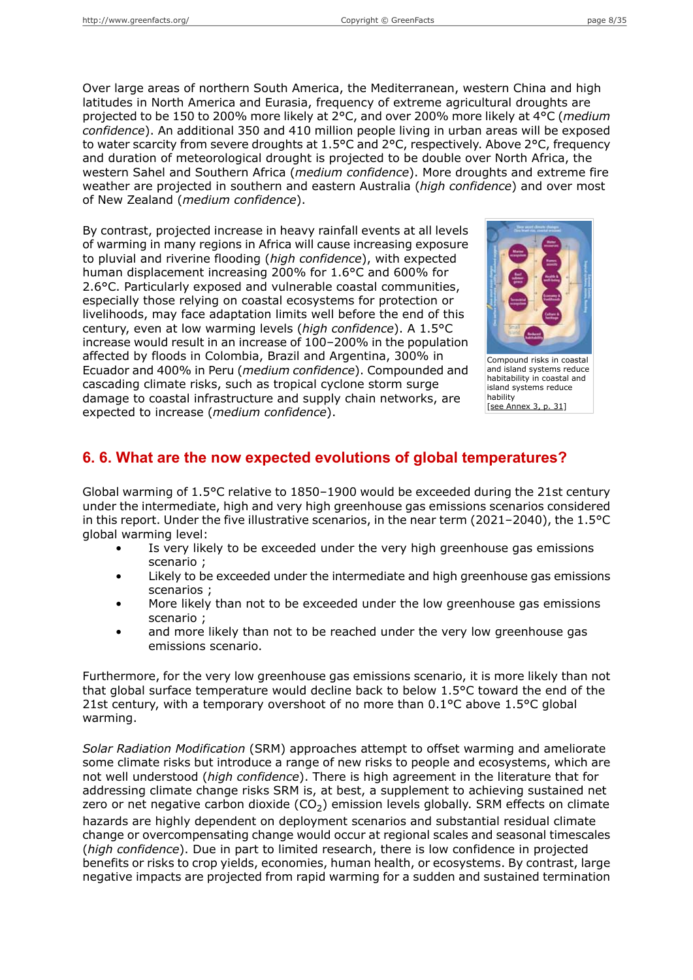Over large areas of northern South America, the Mediterranean, western China and high latitudes in North America and Eurasia, frequency of extreme agricultural droughts are projected to be 150 to 200% more likely at 2°C, and over 200% more likely at 4°C (*medium confidence*). An additional 350 and 410 million people living in urban areas will be exposed to water scarcity from severe droughts at 1.5°C and 2°C, respectively. Above 2°C, frequency and duration of meteorological drought is projected to be double over North Africa, the western Sahel and Southern Africa (*medium confidence*). More droughts and extreme fire weather are projected in southern and eastern Australia (*high confidence*) and over most of New Zealand (*medium confidence*).

By contrast, projected increase in heavy rainfall events at all levels of warming in many regions in Africa will cause increasing exposure to pluvial and riverine flooding (*high confidence*), with expected human displacement increasing 200% for 1.6°C and 600% for 2.6°C. Particularly exposed and vulnerable coastal communities, especially those relying on coastal ecosystems for protection or livelihoods, may face adaptation limits well before the end of this century, even at low warming levels (*high confidence*). A 1.5°C increase would result in an increase of 100–200% in the population affected by floods in Colombia, Brazil and Argentina, 300% in Ecuador and 400% in Peru (*medium confidence*). Compounded and cascading climate risks, such as tropical cyclone storm surge damage to coastal infrastructure and supply chain networks, are expected to increase (*medium confidence*).



Compound risks in coastal and island systems reduce habitability in coastal and island systems reduce hability [see [Annex](#page-30-0) 3, p. 31]

## **6. 6. What are the now expected evolutions of global temperatures?**

Global warming of 1.5°C relative to 1850–1900 would be exceeded during the 21st century under the intermediate, high and very high greenhouse gas emissions scenarios considered in this report. Under the five illustrative scenarios, in the near term (2021–2040), the 1.5°C global warming level:

- Is very likely to be exceeded under the very high greenhouse gas emissions scenario ;
- Likely to be exceeded under the intermediate and high greenhouse gas emissions scenarios ;
- More likely than not to be exceeded under the low greenhouse gas emissions scenario ;
- and more likely than not to be reached under the very low greenhouse gas emissions scenario.

Furthermore, for the very low greenhouse gas emissions scenario, it is more likely than not that global surface temperature would decline back to below 1.5°C toward the end of the 21st century, with a temporary overshoot of no more than  $0.1^{\circ}$ C above 1.5 $^{\circ}$ C global warming.

*Solar Radiation Modification* (SRM) approaches attempt to offset warming and ameliorate some climate risks but introduce a range of new risks to people and ecosystems, which are not well understood (*high confidence*). There is high agreement in the literature that for addressing climate change risks SRM is, at best, a supplement to achieving sustained net zero or net negative carbon dioxide (CO<sub>2</sub>) emission levels globally. SRM effects on climate hazards are highly dependent on deployment scenarios and substantial residual climate change or overcompensating change would occur at regional scales and seasonal timescales (*high confidence*). Due in part to limited research, there is low confidence in projected benefits or risks to crop yields, economies, human health, or ecosystems. By contrast, large negative impacts are projected from rapid warming for a sudden and sustained termination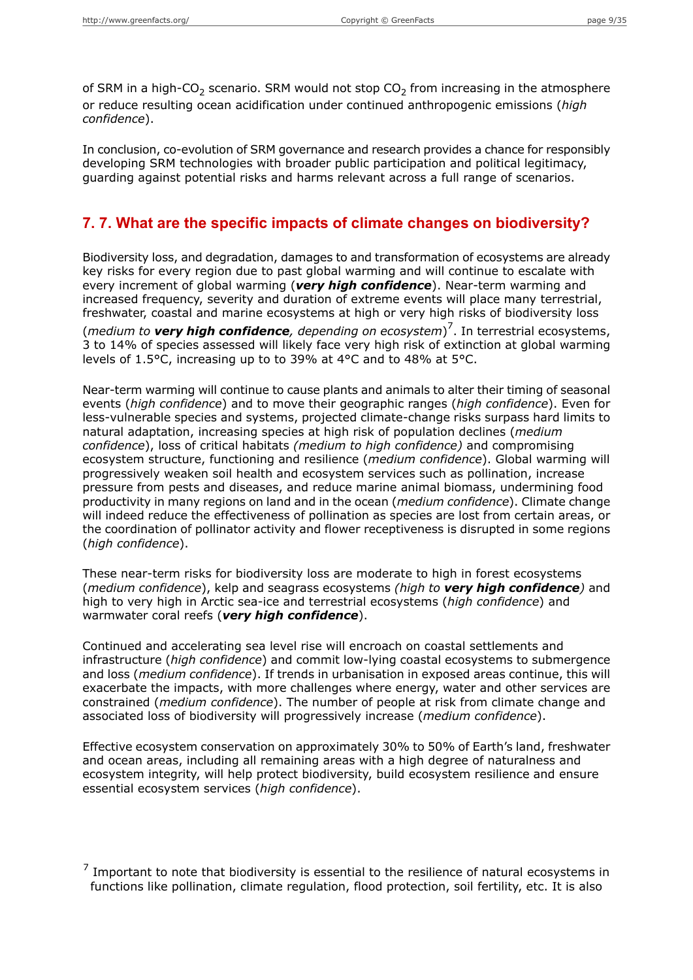of SRM in a high-CO<sub>2</sub> scenario. SRM would not stop CO<sub>2</sub> from increasing in the atmosphere or reduce resulting ocean acidification under continued anthropogenic emissions (*high confidence*).

In conclusion, co-evolution of SRM governance and research provides a chance for responsibly developing SRM technologies with broader public participation and political legitimacy, guarding against potential risks and harms relevant across a full range of scenarios.

### **7. 7. What are the specific impacts of climate changes on biodiversity?**

Biodiversity loss, and degradation, damages to and transformation of ecosystems are already key risks for every region due to past global warming and will continue to escalate with every increment of global warming (*very high confidence*). Near-term warming and increased frequency, severity and duration of extreme events will place many terrestrial, freshwater, coastal and marine ecosystems at high or very high risks of biodiversity loss (*medium to very high confidence, depending on ecosystem*) 7 . In terrestrial ecosystems, 3 to 14% of species assessed will likely face very high risk of extinction at global warming levels of 1.5°C, increasing up to to 39% at 4°C and to 48% at 5°C.

Near-term warming will continue to cause plants and animals to alter their timing of seasonal events (*high confidence*) and to move their geographic ranges (*high confidence*). Even for less-vulnerable species and systems, projected climate-change risks surpass hard limits to natural adaptation, increasing species at high risk of population declines (*medium confidence*), loss of critical habitats *(medium to high confidence)* and compromising ecosystem structure, functioning and resilience (*medium confidence*). Global warming will progressively weaken soil health and ecosystem services such as pollination, increase pressure from pests and diseases, and reduce marine animal biomass, undermining food productivity in many regions on land and in the ocean (*medium confidence*). Climate change will indeed reduce the effectiveness of pollination as species are lost from certain areas, or the coordination of pollinator activity and flower receptiveness is disrupted in some regions (*high confidence*).

These near-term risks for biodiversity loss are moderate to high in forest ecosystems (*medium confidence*), kelp and seagrass ecosystems *(high to very high confidence)* and high to very high in Arctic sea-ice and terrestrial ecosystems (*high confidence*) and warmwater coral reefs (*very high confidence*).

Continued and accelerating sea level rise will encroach on coastal settlements and infrastructure (*high confidence*) and commit low-lying coastal ecosystems to submergence and loss (*medium confidence*). If trends in urbanisation in exposed areas continue, this will exacerbate the impacts, with more challenges where energy, water and other services are constrained (*medium confidence*). The number of people at risk from climate change and associated loss of biodiversity will progressively increase (*medium confidence*).

Effective ecosystem conservation on approximately 30% to 50% of Earth's land, freshwater and ocean areas, including all remaining areas with a high degree of naturalness and ecosystem integrity, will help protect biodiversity, build ecosystem resilience and ensure essential ecosystem services (*high confidence*).

 $<sup>7</sup>$  Important to note that biodiversity is essential to the resilience of natural ecosystems in</sup> functions like pollination, climate regulation, flood protection, soil fertility, etc. It is also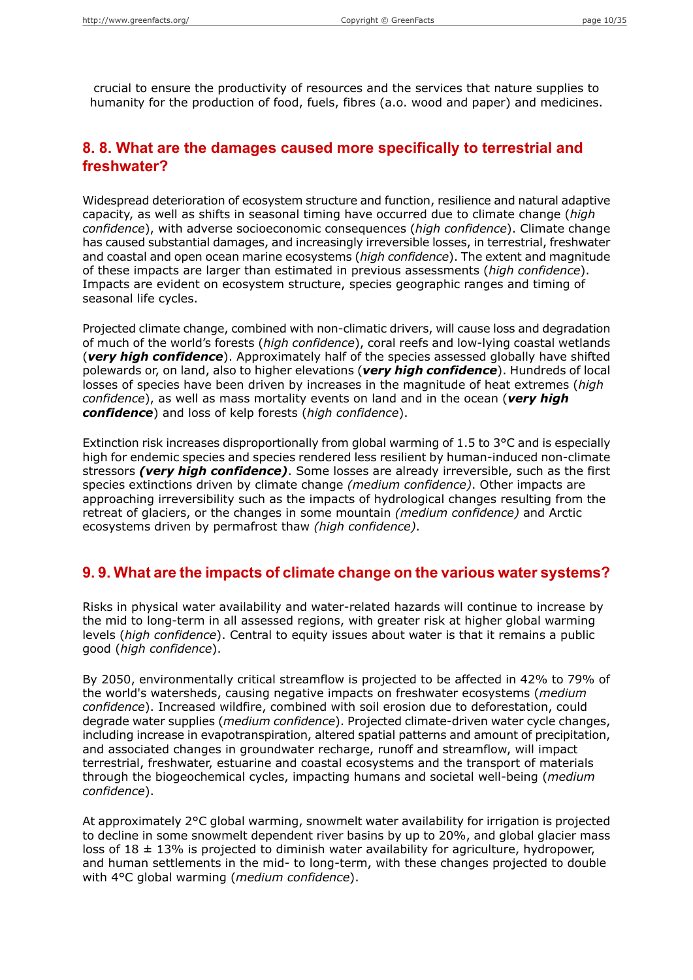crucial to ensure the productivity of resources and the services that nature supplies to humanity for the production of food, fuels, fibres (a.o. wood and paper) and medicines.

### **8. 8. What are the damages caused more specifically to terrestrial and freshwater?**

Widespread deterioration of ecosystem structure and function, resilience and natural adaptive capacity, as well as shifts in seasonal timing have occurred due to climate change (*high confidence*), with adverse socioeconomic consequences (*high confidence*). Climate change has caused substantial damages, and increasingly irreversible losses, in terrestrial, freshwater and coastal and open ocean marine ecosystems (*high confidence*). The extent and magnitude of these impacts are larger than estimated in previous assessments (*high confidence*). Impacts are evident on ecosystem structure, species geographic ranges and timing of seasonal life cycles.

Projected climate change, combined with non-climatic drivers, will cause loss and degradation of much of the world's forests (*high confidence*), coral reefs and low-lying coastal wetlands (*very high confidence*). Approximately half of the species assessed globally have shifted polewards or, on land, also to higher elevations (*very high confidence*). Hundreds of local losses of species have been driven by increases in the magnitude of heat extremes (*high confidence*), as well as mass mortality events on land and in the ocean (*very high confidence*) and loss of kelp forests (*high confidence*).

Extinction risk increases disproportionally from global warming of 1.5 to 3°C and is especially high for endemic species and species rendered less resilient by human-induced non-climate stressors *(very high confidence)*. Some losses are already irreversible, such as the first species extinctions driven by climate change *(medium confidence)*. Other impacts are approaching irreversibility such as the impacts of hydrological changes resulting from the retreat of glaciers, or the changes in some mountain *(medium confidence)* and Arctic ecosystems driven by permafrost thaw *(high confidence)*.

#### **9. 9. What are the impacts of climate change on the various water systems?**

Risks in physical water availability and water-related hazards will continue to increase by the mid to long-term in all assessed regions, with greater risk at higher global warming levels (*high confidence*). Central to equity issues about water is that it remains a public good (*high confidence*).

By 2050, environmentally critical streamflow is projected to be affected in 42% to 79% of the world's watersheds, causing negative impacts on freshwater ecosystems (*medium confidence*). Increased wildfire, combined with soil erosion due to deforestation, could degrade water supplies (*medium confidence*). Projected climate-driven water cycle changes, including increase in evapotranspiration, altered spatial patterns and amount of precipitation, and associated changes in groundwater recharge, runoff and streamflow, will impact terrestrial, freshwater, estuarine and coastal ecosystems and the transport of materials through the biogeochemical cycles, impacting humans and societal well-being (*medium confidence*).

At approximately 2°C global warming, snowmelt water availability for irrigation is projected to decline in some snowmelt dependent river basins by up to 20%, and global glacier mass loss of  $18 \pm 13\%$  is projected to diminish water availability for agriculture, hydropower, and human settlements in the mid- to long-term, with these changes projected to double with 4°C global warming (*medium confidence*).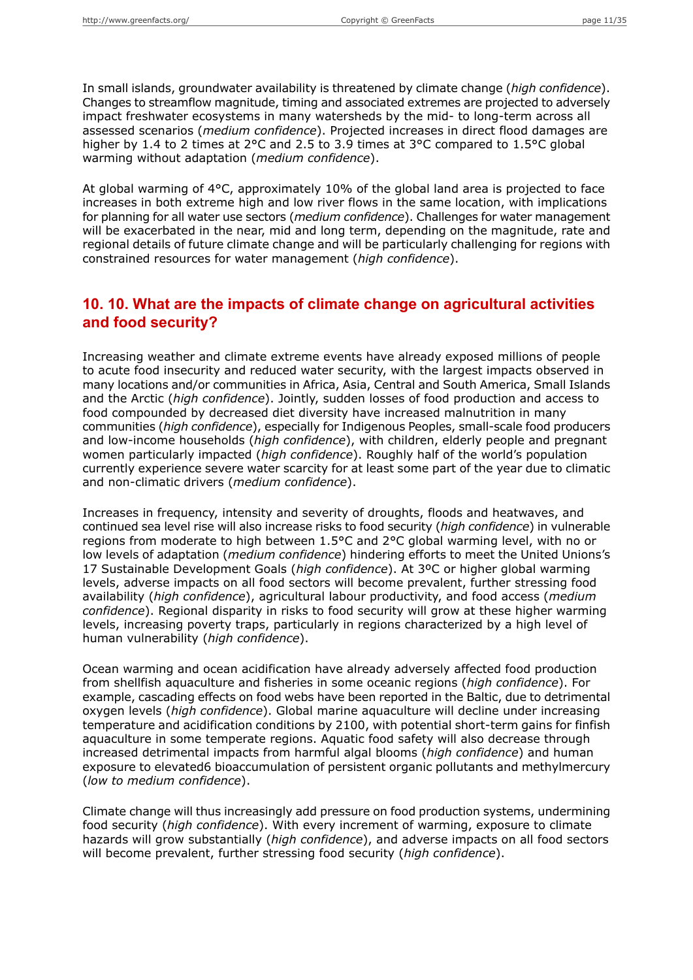In small islands, groundwater availability is threatened by climate change (*high confidence*). Changes to streamflow magnitude, timing and associated extremes are projected to adversely impact freshwater ecosystems in many watersheds by the mid- to long-term across all assessed scenarios (*medium confidence*). Projected increases in direct flood damages are higher by 1.4 to 2 times at 2°C and 2.5 to 3.9 times at 3°C compared to 1.5°C global warming without adaptation (*medium confidence*).

At global warming of 4°C, approximately 10% of the global land area is projected to face increases in both extreme high and low river flows in the same location, with implications for planning for all water use sectors (*medium confidence*). Challenges for water management will be exacerbated in the near, mid and long term, depending on the magnitude, rate and regional details of future climate change and will be particularly challenging for regions with constrained resources for water management (*high confidence*).

### **10. 10. What are the impacts of climate change on agricultural activities and food security?**

Increasing weather and climate extreme events have already exposed millions of people to acute food insecurity and reduced water security, with the largest impacts observed in many locations and/or communities in Africa, Asia, Central and South America, Small Islands and the Arctic (*high confidence*). Jointly, sudden losses of food production and access to food compounded by decreased diet diversity have increased malnutrition in many communities (*high confidence*), especially for Indigenous Peoples, small-scale food producers and low-income households (*high confidence*), with children, elderly people and pregnant women particularly impacted (*high confidence*). Roughly half of the world's population currently experience severe water scarcity for at least some part of the year due to climatic and non-climatic drivers (*medium confidence*).

Increases in frequency, intensity and severity of droughts, floods and heatwaves, and continued sea level rise will also increase risks to food security (*high confidence*) in vulnerable regions from moderate to high between 1.5°C and 2°C global warming level, with no or low levels of adaptation (*medium confidence*) hindering efforts to meet the United Unions's 17 Sustainable Development Goals (*high confidence*). At 3ºC or higher global warming levels, adverse impacts on all food sectors will become prevalent, further stressing food availability (*high confidence*), agricultural labour productivity, and food access (*medium confidence*). Regional disparity in risks to food security will grow at these higher warming levels, increasing poverty traps, particularly in regions characterized by a high level of human vulnerability (*high confidence*).

Ocean warming and ocean acidification have already adversely affected food production from shellfish aquaculture and fisheries in some oceanic regions (*high confidence*). For example, cascading effects on food webs have been reported in the Baltic, due to detrimental oxygen levels (*high confidence*). Global marine aquaculture will decline under increasing temperature and acidification conditions by 2100, with potential short-term gains for finfish aquaculture in some temperate regions. Aquatic food safety will also decrease through increased detrimental impacts from harmful algal blooms (*high confidence*) and human exposure to elevated6 bioaccumulation of persistent organic pollutants and methylmercury (*low to medium confidence*).

Climate change will thus increasingly add pressure on food production systems, undermining food security (*high confidence*). With every increment of warming, exposure to climate hazards will grow substantially (*high confidence*), and adverse impacts on all food sectors will become prevalent, further stressing food security (*high confidence*).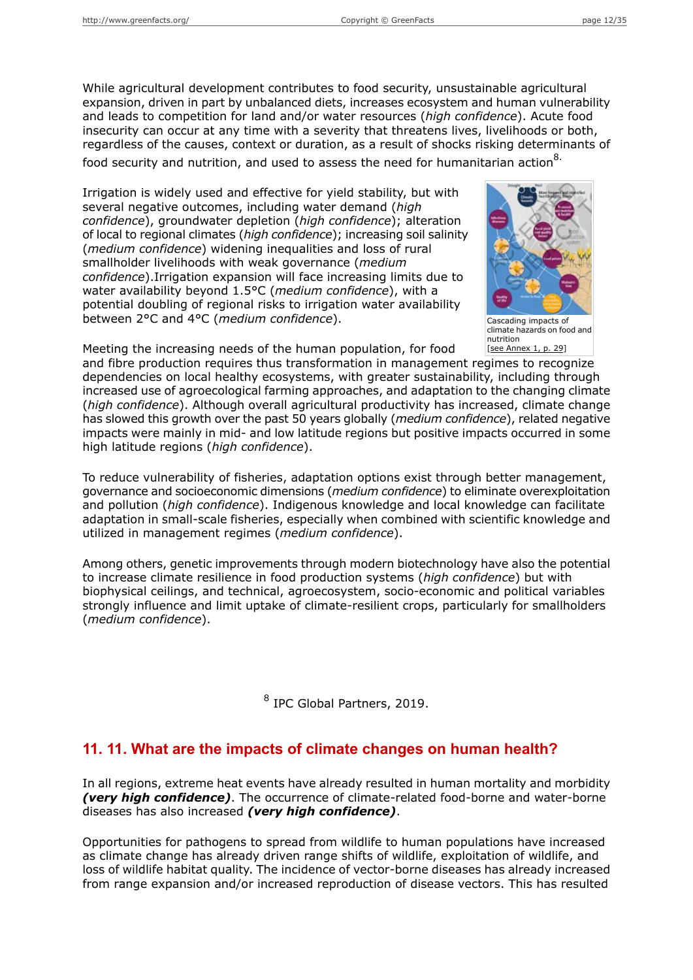While agricultural development contributes to food security, unsustainable agricultural expansion, driven in part by unbalanced diets, increases ecosystem and human vulnerability and leads to competition for land and/or water resources (*high confidence*). Acute food insecurity can occur at any time with a severity that threatens lives, livelihoods or both, regardless of the causes, context or duration, as a result of shocks risking determinants of food security and nutrition, and used to assess the need for humanitarian action $8$ .

Irrigation is widely used and effective for yield stability, but with several negative outcomes, including water demand (*high confidence*), groundwater depletion (*high confidence*); alteration of local to regional climates (*high confidence*); increasing soil salinity (*medium confidence*) widening inequalities and loss of rural smallholder livelihoods with weak governance (*medium confidence*).Irrigation expansion will face increasing limits due to water availability beyond 1.5°C (*medium confidence*), with a potential doubling of regional risks to irrigation water availability between 2°C and 4°C (*medium confidence*).



Cascading impacts of climate hazards on food and nutrition [see [Annex](#page-28-0) 1, p. 29]

Meeting the increasing needs of the human population, for food

and fibre production requires thus transformation in management regimes to recognize dependencies on local healthy ecosystems, with greater sustainability, including through increased use of agroecological farming approaches, and adaptation to the changing climate (*high confidence*). Although overall agricultural productivity has increased, climate change has slowed this growth over the past 50 years globally (*medium confidence*), related negative impacts were mainly in mid- and low latitude regions but positive impacts occurred in some high latitude regions (*high confidence*).

To reduce vulnerability of fisheries, adaptation options exist through better management, governance and socioeconomic dimensions (*medium confidence*) to eliminate overexploitation and pollution (*high confidence*). Indigenous knowledge and local knowledge can facilitate adaptation in small-scale fisheries, especially when combined with scientific knowledge and utilized in management regimes (*medium confidence*).

Among others, genetic improvements through modern biotechnology have also the potential to increase climate resilience in food production systems (*high confidence*) but with biophysical ceilings, and technical, agroecosystem, socio-economic and political variables strongly influence and limit uptake of climate-resilient crops, particularly for smallholders (*medium confidence*).

8 IPC Global Partners, 2019.

## **11. 11. What are the impacts of climate changes on human health?**

In all regions, extreme heat events have already resulted in human mortality and morbidity *(very high confidence)*. The occurrence of climate-related food-borne and water-borne diseases has also increased *(very high confidence)*.

Opportunities for pathogens to spread from wildlife to human populations have increased as climate change has already driven range shifts of wildlife, exploitation of wildlife, and loss of wildlife habitat quality. The incidence of vector-borne diseases has already increased from range expansion and/or increased reproduction of disease vectors. This has resulted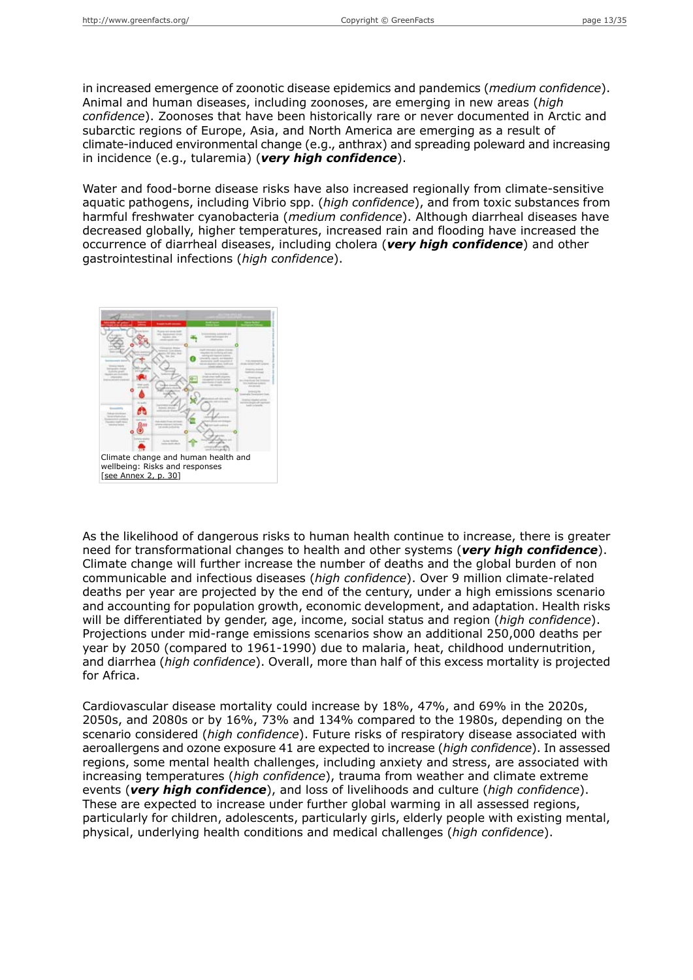in increased emergence of zoonotic disease epidemics and pandemics (*medium confidence*). Animal and human diseases, including zoonoses, are emerging in new areas (*high confidence*). Zoonoses that have been historically rare or never documented in Arctic and subarctic regions of Europe, Asia, and North America are emerging as a result of climate-induced environmental change (e.g., anthrax) and spreading poleward and increasing in incidence (e.g., tularemia) (*very high confidence*).

Water and food-borne disease risks have also increased regionally from climate-sensitive aquatic pathogens, including Vibrio spp. (*high confidence*), and from toxic substances from harmful freshwater cyanobacteria (*medium confidence*). Although diarrheal diseases have decreased globally, higher temperatures, increased rain and flooding have increased the occurrence of diarrheal diseases, including cholera (*very high confidence*) and other gastrointestinal infections (*high confidence*).



As the likelihood of dangerous risks to human health continue to increase, there is greater need for transformational changes to health and other systems (*very high confidence*). Climate change will further increase the number of deaths and the global burden of non communicable and infectious diseases (*high confidence*). Over 9 million climate-related deaths per year are projected by the end of the century, under a high emissions scenario and accounting for population growth, economic development, and adaptation. Health risks will be differentiated by gender, age, income, social status and region (*high confidence*). Projections under mid-range emissions scenarios show an additional 250,000 deaths per year by 2050 (compared to 1961-1990) due to malaria, heat, childhood undernutrition, and diarrhea (*high confidence*). Overall, more than half of this excess mortality is projected for Africa.

Cardiovascular disease mortality could increase by 18%, 47%, and 69% in the 2020s, 2050s, and 2080s or by 16%, 73% and 134% compared to the 1980s, depending on the scenario considered (*high confidence*). Future risks of respiratory disease associated with aeroallergens and ozone exposure 41 are expected to increase (*high confidence*). In assessed regions, some mental health challenges, including anxiety and stress, are associated with increasing temperatures (*high confidence*), trauma from weather and climate extreme events (*very high confidence*), and loss of livelihoods and culture (*high confidence*). These are expected to increase under further global warming in all assessed regions, particularly for children, adolescents, particularly girls, elderly people with existing mental, physical, underlying health conditions and medical challenges (*high confidence*).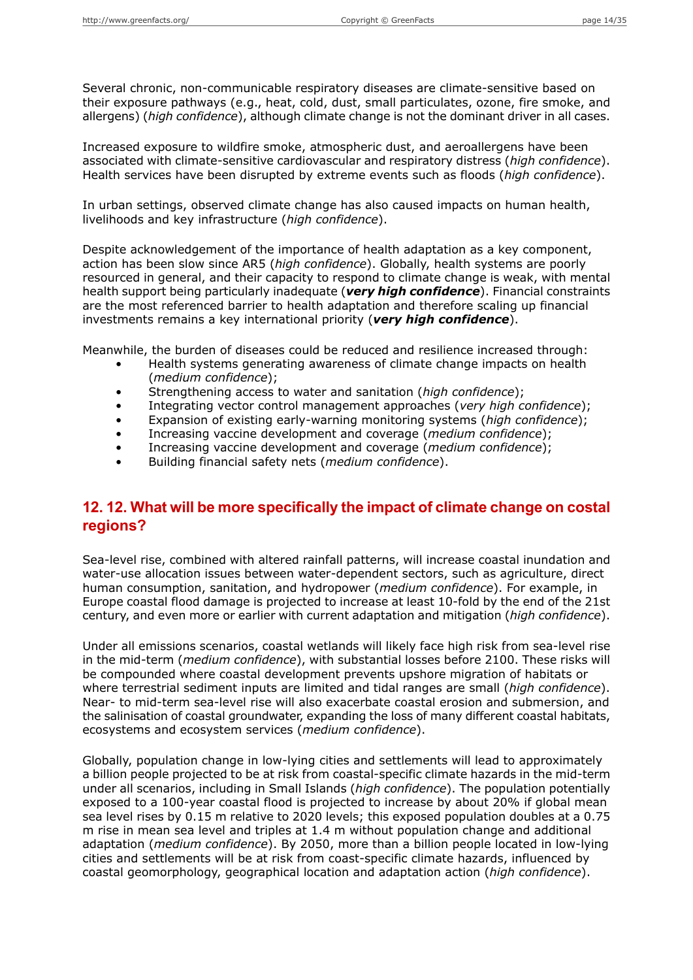Several chronic, non-communicable respiratory diseases are climate-sensitive based on their exposure pathways (e.g., heat, cold, dust, small particulates, ozone, fire smoke, and allergens) (*high confidence*), although climate change is not the dominant driver in all cases.

Increased exposure to wildfire smoke, atmospheric dust, and aeroallergens have been associated with climate-sensitive cardiovascular and respiratory distress (*high confidence*). Health services have been disrupted by extreme events such as floods (*high confidence*).

In urban settings, observed climate change has also caused impacts on human health, livelihoods and key infrastructure (*high confidence*).

Despite acknowledgement of the importance of health adaptation as a key component, action has been slow since AR5 (*high confidence*). Globally, health systems are poorly resourced in general, and their capacity to respond to climate change is weak, with mental health support being particularly inadequate (*very high confidence*). Financial constraints are the most referenced barrier to health adaptation and therefore scaling up financial investments remains a key international priority (*very high confidence*).

Meanwhile, the burden of diseases could be reduced and resilience increased through:

- Health systems generating awareness of climate change impacts on health (*medium confidence*);
- Strengthening access to water and sanitation (*high confidence*);
- Integrating vector control management approaches (*very high confidence*);
- Expansion of existing early-warning monitoring systems (*high confidence*);
- Increasing vaccine development and coverage (*medium confidence*);
- Increasing vaccine development and coverage (*medium confidence*);
- Building financial safety nets (*medium confidence*).

## **12. 12. What will be more specifically the impact of climate change on costal regions?**

Sea-level rise, combined with altered rainfall patterns, will increase coastal inundation and water-use allocation issues between water-dependent sectors, such as agriculture, direct human consumption, sanitation, and hydropower (*medium confidence*). For example, in Europe coastal flood damage is projected to increase at least 10-fold by the end of the 21st century, and even more or earlier with current adaptation and mitigation (*high confidence*).

Under all emissions scenarios, coastal wetlands will likely face high risk from sea-level rise in the mid-term (*medium confidence*), with substantial losses before 2100. These risks will be compounded where coastal development prevents upshore migration of habitats or where terrestrial sediment inputs are limited and tidal ranges are small (*high confidence*). Near- to mid-term sea-level rise will also exacerbate coastal erosion and submersion, and the salinisation of coastal groundwater, expanding the loss of many different coastal habitats, ecosystems and ecosystem services (*medium confidence*).

Globally, population change in low-lying cities and settlements will lead to approximately a billion people projected to be at risk from coastal-specific climate hazards in the mid-term under all scenarios, including in Small Islands (*high confidence*). The population potentially exposed to a 100-year coastal flood is projected to increase by about 20% if global mean sea level rises by 0.15 m relative to 2020 levels; this exposed population doubles at a 0.75 m rise in mean sea level and triples at 1.4 m without population change and additional adaptation (*medium confidence*). By 2050, more than a billion people located in low-lying cities and settlements will be at risk from coast-specific climate hazards, influenced by coastal geomorphology, geographical location and adaptation action (*high confidence*).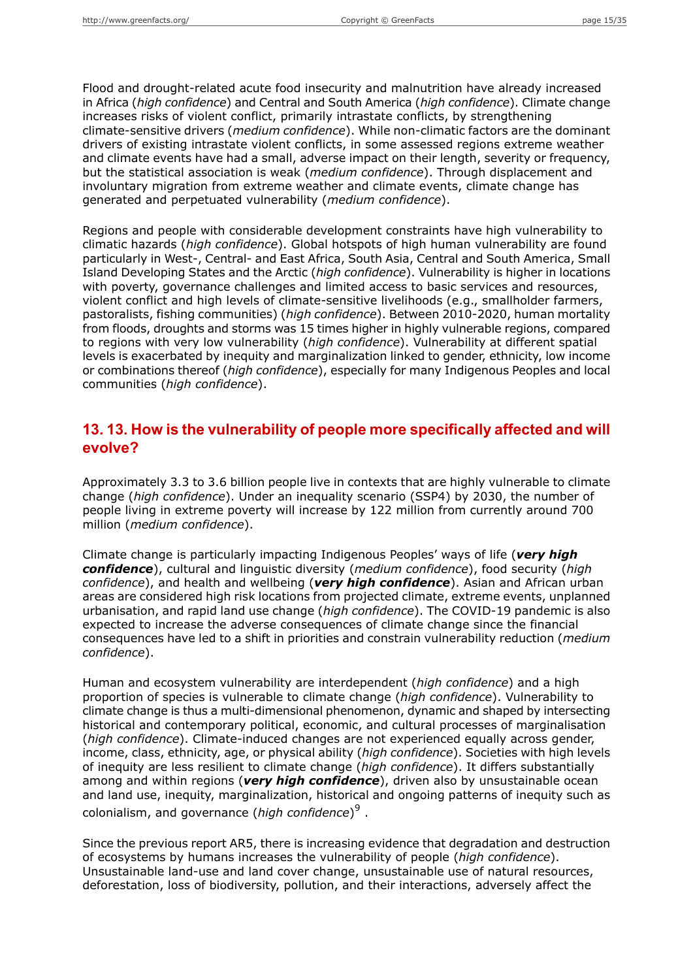Flood and drought-related acute food insecurity and malnutrition have already increased in Africa (*high confidence*) and Central and South America (*high confidence*). Climate change increases risks of violent conflict, primarily intrastate conflicts, by strengthening climate-sensitive drivers (*medium confidence*). While non-climatic factors are the dominant drivers of existing intrastate violent conflicts, in some assessed regions extreme weather and climate events have had a small, adverse impact on their length, severity or frequency, but the statistical association is weak (*medium confidence*). Through displacement and involuntary migration from extreme weather and climate events, climate change has generated and perpetuated vulnerability (*medium confidence*).

Regions and people with considerable development constraints have high vulnerability to climatic hazards (*high confidence*). Global hotspots of high human vulnerability are found particularly in West-, Central- and East Africa, South Asia, Central and South America, Small Island Developing States and the Arctic (*high confidence*). Vulnerability is higher in locations with poverty, governance challenges and limited access to basic services and resources, violent conflict and high levels of climate-sensitive livelihoods (e.g., smallholder farmers, pastoralists, fishing communities) (*high confidence*). Between 2010-2020, human mortality from floods, droughts and storms was 15 times higher in highly vulnerable regions, compared to regions with very low vulnerability (*high confidence*). Vulnerability at different spatial levels is exacerbated by inequity and marginalization linked to gender, ethnicity, low income or combinations thereof (*high confidence*), especially for many Indigenous Peoples and local communities (*high confidence*).

### **13. 13. How is the vulnerability of people more specifically affected and will evolve?**

Approximately 3.3 to 3.6 billion people live in contexts that are highly vulnerable to climate change (*high confidence*). Under an inequality scenario (SSP4) by 2030, the number of people living in extreme poverty will increase by 122 million from currently around 700 million (*medium confidence*).

Climate change is particularly impacting Indigenous Peoples' ways of life (*very high confidence*), cultural and linguistic diversity (*medium confidence*), food security (*high confidence*), and health and wellbeing (*very high confidence*). Asian and African urban areas are considered high risk locations from projected climate, extreme events, unplanned urbanisation, and rapid land use change (*high confidence*). The COVID-19 pandemic is also expected to increase the adverse consequences of climate change since the financial consequences have led to a shift in priorities and constrain vulnerability reduction (*medium confidence*).

Human and ecosystem vulnerability are interdependent (*high confidence*) and a high proportion of species is vulnerable to climate change (*high confidence*). Vulnerability to climate change is thus a multi-dimensional phenomenon, dynamic and shaped by intersecting historical and contemporary political, economic, and cultural processes of marginalisation (*high confidence*). Climate-induced changes are not experienced equally across gender, income, class, ethnicity, age, or physical ability (*high confidence*). Societies with high levels of inequity are less resilient to climate change (*high confidence*). It differs substantially among and within regions (*very high confidence*), driven also by unsustainable ocean and land use, inequity, marginalization, historical and ongoing patterns of inequity such as colonialism, and governance (*high confidence*) 9 .

Since the previous report AR5, there is increasing evidence that degradation and destruction of ecosystems by humans increases the vulnerability of people (*high confidence*). Unsustainable land-use and land cover change, unsustainable use of natural resources, deforestation, loss of biodiversity, pollution, and their interactions, adversely affect the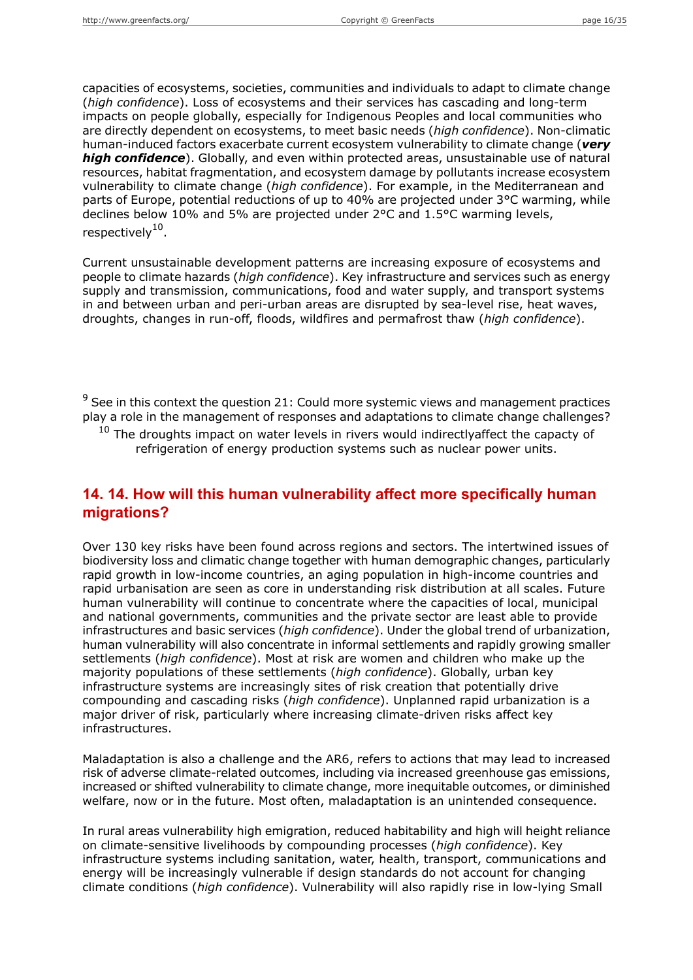capacities of ecosystems, societies, communities and individuals to adapt to climate change (*high confidence*). Loss of ecosystems and their services has cascading and long-term impacts on people globally, especially for Indigenous Peoples and local communities who are directly dependent on ecosystems, to meet basic needs (*high confidence*). Non-climatic human-induced factors exacerbate current ecosystem vulnerability to climate change (*very high confidence*). Globally, and even within protected areas, unsustainable use of natural resources, habitat fragmentation, and ecosystem damage by pollutants increase ecosystem vulnerability to climate change (*high confidence*). For example, in the Mediterranean and parts of Europe, potential reductions of up to 40% are projected under 3°C warming, while declines below 10% and 5% are projected under 2°C and 1.5°C warming levels, respectively<sup>10</sup>.

Current unsustainable development patterns are increasing exposure of ecosystems and people to climate hazards (*high confidence*). Key infrastructure and services such as energy supply and transmission, communications, food and water supply, and transport systems in and between urban and peri-urban areas are disrupted by sea-level rise, heat waves, droughts, changes in run-off, floods, wildfires and permafrost thaw (*high confidence*).

 $9$  See in this context the question 21: Could more systemic views and management practices play a role in the management of responses and adaptations to climate change challenges?

 $10$  The droughts impact on water levels in rivers would indirectlyaffect the capacty of refrigeration of energy production systems such as nuclear power units.

### **14. 14. How will this human vulnerability affect more specifically human migrations?**

Over 130 key risks have been found across regions and sectors. The intertwined issues of biodiversity loss and climatic change together with human demographic changes, particularly rapid growth in low-income countries, an aging population in high-income countries and rapid urbanisation are seen as core in understanding risk distribution at all scales. Future human vulnerability will continue to concentrate where the capacities of local, municipal and national governments, communities and the private sector are least able to provide infrastructures and basic services (*high confidence*). Under the global trend of urbanization, human vulnerability will also concentrate in informal settlements and rapidly growing smaller settlements (*high confidence*). Most at risk are women and children who make up the majority populations of these settlements (*high confidence*). Globally, urban key infrastructure systems are increasingly sites of risk creation that potentially drive compounding and cascading risks (*high confidence*). Unplanned rapid urbanization is a major driver of risk, particularly where increasing climate-driven risks affect key infrastructures.

Maladaptation is also a challenge and the AR6, refers to actions that may lead to increased risk of adverse climate-related outcomes, including via increased greenhouse gas emissions, increased or shifted vulnerability to climate change, more inequitable outcomes, or diminished welfare, now or in the future. Most often, maladaptation is an unintended consequence.

In rural areas vulnerability high emigration, reduced habitability and high will height reliance on climate-sensitive livelihoods by compounding processes (*high confidence*). Key infrastructure systems including sanitation, water, health, transport, communications and energy will be increasingly vulnerable if design standards do not account for changing climate conditions (*high confidence*). Vulnerability will also rapidly rise in low-lying Small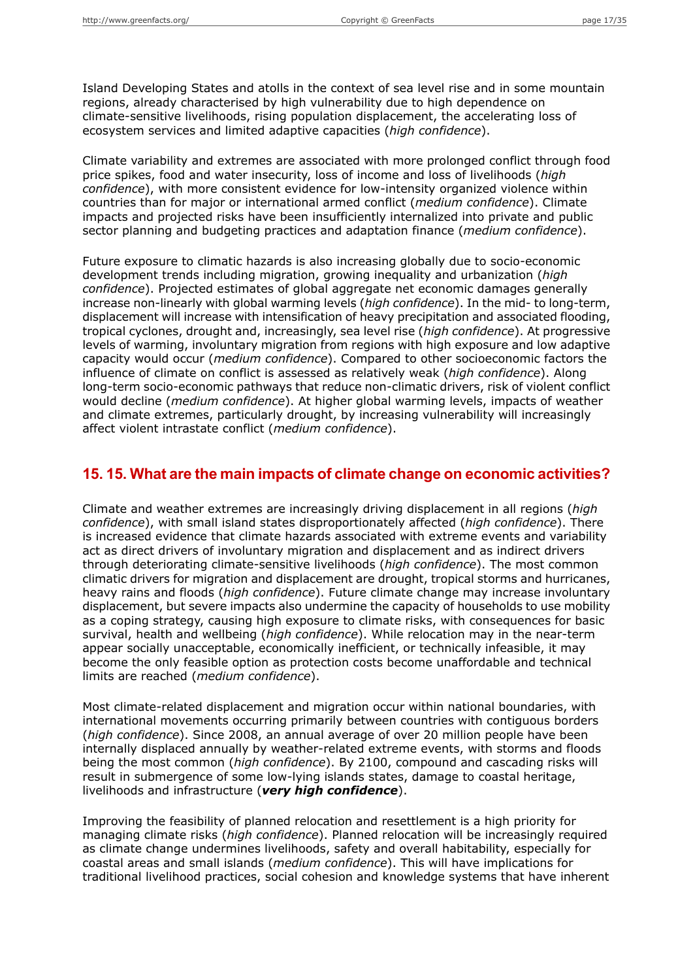Island Developing States and atolls in the context of sea level rise and in some mountain regions, already characterised by high vulnerability due to high dependence on climate-sensitive livelihoods, rising population displacement, the accelerating loss of ecosystem services and limited adaptive capacities (*high confidence*).

Climate variability and extremes are associated with more prolonged conflict through food price spikes, food and water insecurity, loss of income and loss of livelihoods (*high confidence*), with more consistent evidence for low-intensity organized violence within countries than for major or international armed conflict (*medium confidence*). Climate impacts and projected risks have been insufficiently internalized into private and public sector planning and budgeting practices and adaptation finance (*medium confidence*).

Future exposure to climatic hazards is also increasing globally due to socio-economic development trends including migration, growing inequality and urbanization (*high confidence*). Projected estimates of global aggregate net economic damages generally increase non-linearly with global warming levels (*high confidence*). In the mid- to long-term, displacement will increase with intensification of heavy precipitation and associated flooding, tropical cyclones, drought and, increasingly, sea level rise (*high confidence*). At progressive levels of warming, involuntary migration from regions with high exposure and low adaptive capacity would occur (*medium confidence*). Compared to other socioeconomic factors the influence of climate on conflict is assessed as relatively weak (*high confidence*). Along long-term socio-economic pathways that reduce non-climatic drivers, risk of violent conflict would decline (*medium confidence*). At higher global warming levels, impacts of weather and climate extremes, particularly drought, by increasing vulnerability will increasingly affect violent intrastate conflict (*medium confidence*).

#### **15. 15. What are the main impacts of climate change on economic activities?**

Climate and weather extremes are increasingly driving displacement in all regions (*high confidence*), with small island states disproportionately affected (*high confidence*). There is increased evidence that climate hazards associated with extreme events and variability act as direct drivers of involuntary migration and displacement and as indirect drivers through deteriorating climate-sensitive livelihoods (*high confidence*). The most common climatic drivers for migration and displacement are drought, tropical storms and hurricanes, heavy rains and floods (*high confidence*). Future climate change may increase involuntary displacement, but severe impacts also undermine the capacity of households to use mobility as a coping strategy, causing high exposure to climate risks, with consequences for basic survival, health and wellbeing (*high confidence*). While relocation may in the near-term appear socially unacceptable, economically inefficient, or technically infeasible, it may become the only feasible option as protection costs become unaffordable and technical limits are reached (*medium confidence*).

Most climate-related displacement and migration occur within national boundaries, with international movements occurring primarily between countries with contiguous borders (*high confidence*). Since 2008, an annual average of over 20 million people have been internally displaced annually by weather-related extreme events, with storms and floods being the most common (*high confidence*). By 2100, compound and cascading risks will result in submergence of some low-lying islands states, damage to coastal heritage, livelihoods and infrastructure (*very high confidence*).

Improving the feasibility of planned relocation and resettlement is a high priority for managing climate risks (*high confidence*). Planned relocation will be increasingly required as climate change undermines livelihoods, safety and overall habitability, especially for coastal areas and small islands (*medium confidence*). This will have implications for traditional livelihood practices, social cohesion and knowledge systems that have inherent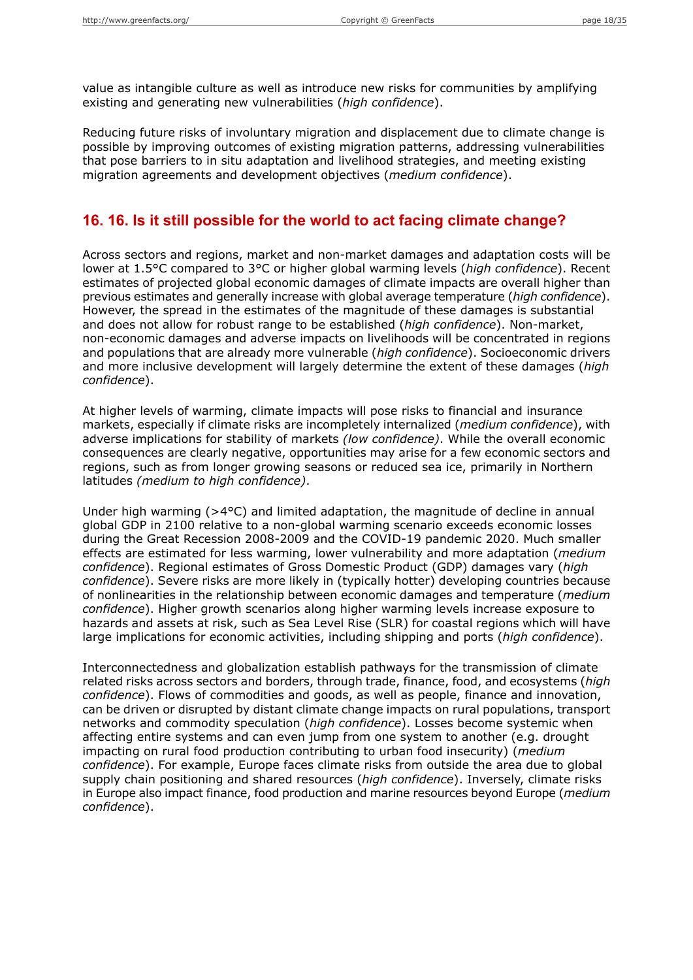value as intangible culture as well as introduce new risks for communities by amplifying existing and generating new vulnerabilities (*high confidence*).

Reducing future risks of involuntary migration and displacement due to climate change is possible by improving outcomes of existing migration patterns, addressing vulnerabilities that pose barriers to in situ adaptation and livelihood strategies, and meeting existing migration agreements and development objectives (*medium confidence*).

#### **16. 16. Is it still possible for the world to act facing climate change?**

Across sectors and regions, market and non-market damages and adaptation costs will be lower at 1.5°C compared to 3°C or higher global warming levels (*high confidence*). Recent estimates of projected global economic damages of climate impacts are overall higher than previous estimates and generally increase with global average temperature (*high confidence*). However, the spread in the estimates of the magnitude of these damages is substantial and does not allow for robust range to be established (*high confidence*). Non-market, non-economic damages and adverse impacts on livelihoods will be concentrated in regions and populations that are already more vulnerable (*high confidence*). Socioeconomic drivers and more inclusive development will largely determine the extent of these damages (*high confidence*).

At higher levels of warming, climate impacts will pose risks to financial and insurance markets, especially if climate risks are incompletely internalized (*medium confidence*), with adverse implications for stability of markets *(low confidence)*. While the overall economic consequences are clearly negative, opportunities may arise for a few economic sectors and regions, such as from longer growing seasons or reduced sea ice, primarily in Northern latitudes *(medium to high confidence)*.

Under high warming (>4°C) and limited adaptation, the magnitude of decline in annual global GDP in 2100 relative to a non-global warming scenario exceeds economic losses during the Great Recession 2008-2009 and the COVID-19 pandemic 2020. Much smaller effects are estimated for less warming, lower vulnerability and more adaptation (*medium confidence*). Regional estimates of Gross Domestic Product (GDP) damages vary (*high confidence*). Severe risks are more likely in (typically hotter) developing countries because of nonlinearities in the relationship between economic damages and temperature (*medium confidence*). Higher growth scenarios along higher warming levels increase exposure to hazards and assets at risk, such as Sea Level Rise (SLR) for coastal regions which will have large implications for economic activities, including shipping and ports (*high confidence*).

Interconnectedness and globalization establish pathways for the transmission of climate related risks across sectors and borders, through trade, finance, food, and ecosystems (*high confidence*). Flows of commodities and goods, as well as people, finance and innovation, can be driven or disrupted by distant climate change impacts on rural populations, transport networks and commodity speculation (*high confidence*). Losses become systemic when affecting entire systems and can even jump from one system to another (e.g. drought impacting on rural food production contributing to urban food insecurity) (*medium confidence*). For example, Europe faces climate risks from outside the area due to global supply chain positioning and shared resources (*high confidence*). Inversely, climate risks in Europe also impact finance, food production and marine resources beyond Europe (*medium confidence*).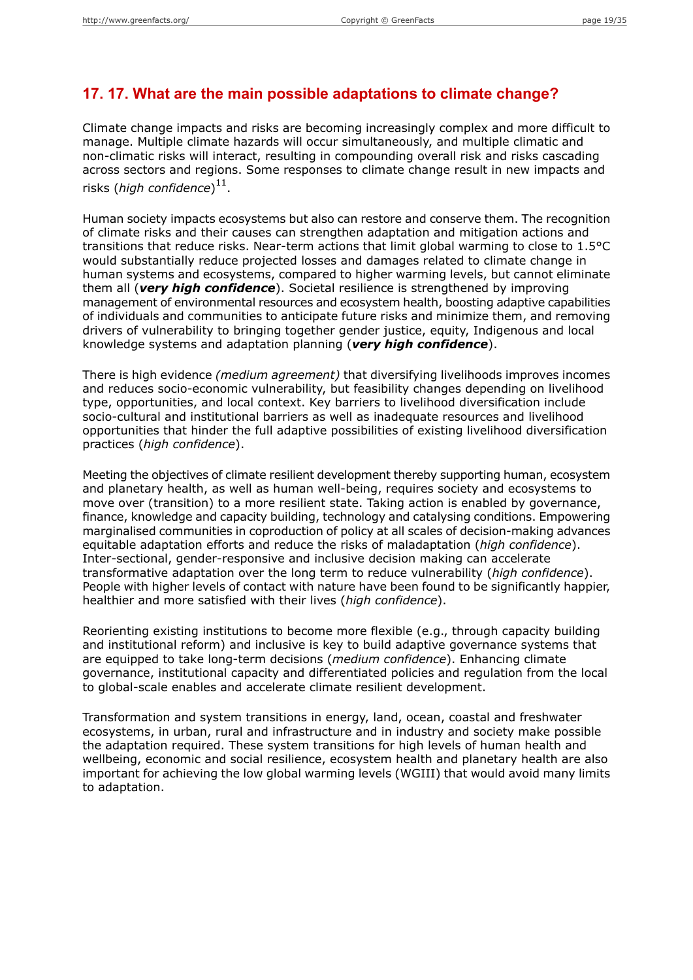#### **17. 17. What are the main possible adaptations to climate change?**

Climate change impacts and risks are becoming increasingly complex and more difficult to manage. Multiple climate hazards will occur simultaneously, and multiple climatic and non-climatic risks will interact, resulting in compounding overall risk and risks cascading across sectors and regions. Some responses to climate change result in new impacts and risks (*high confidence*) 11 .

Human society impacts ecosystems but also can restore and conserve them. The recognition of climate risks and their causes can strengthen adaptation and mitigation actions and transitions that reduce risks. Near-term actions that limit global warming to close to 1.5°C would substantially reduce projected losses and damages related to climate change in human systems and ecosystems, compared to higher warming levels, but cannot eliminate them all (*very high confidence*). Societal resilience is strengthened by improving management of environmental resources and ecosystem health, boosting adaptive capabilities of individuals and communities to anticipate future risks and minimize them, and removing drivers of vulnerability to bringing together gender justice, equity, Indigenous and local knowledge systems and adaptation planning (*very high confidence*).

There is high evidence *(medium agreement)* that diversifying livelihoods improves incomes and reduces socio-economic vulnerability, but feasibility changes depending on livelihood type, opportunities, and local context. Key barriers to livelihood diversification include socio-cultural and institutional barriers as well as inadequate resources and livelihood opportunities that hinder the full adaptive possibilities of existing livelihood diversification practices (*high confidence*).

Meeting the objectives of climate resilient development thereby supporting human, ecosystem and planetary health, as well as human well-being, requires society and ecosystems to move over (transition) to a more resilient state. Taking action is enabled by governance, finance, knowledge and capacity building, technology and catalysing conditions. Empowering marginalised communities in coproduction of policy at all scales of decision-making advances equitable adaptation efforts and reduce the risks of maladaptation (*high confidence*). Inter-sectional, gender-responsive and inclusive decision making can accelerate transformative adaptation over the long term to reduce vulnerability (*high confidence*). People with higher levels of contact with nature have been found to be significantly happier, healthier and more satisfied with their lives (*high confidence*).

Reorienting existing institutions to become more flexible (e.g., through capacity building and institutional reform) and inclusive is key to build adaptive governance systems that are equipped to take long-term decisions (*medium confidence*). Enhancing climate governance, institutional capacity and differentiated policies and regulation from the local to global-scale enables and accelerate climate resilient development.

Transformation and system transitions in energy, land, ocean, coastal and freshwater ecosystems, in urban, rural and infrastructure and in industry and society make possible the adaptation required. These system transitions for high levels of human health and wellbeing, economic and social resilience, ecosystem health and planetary health are also important for achieving the low global warming levels (WGIII) that would avoid many limits to adaptation.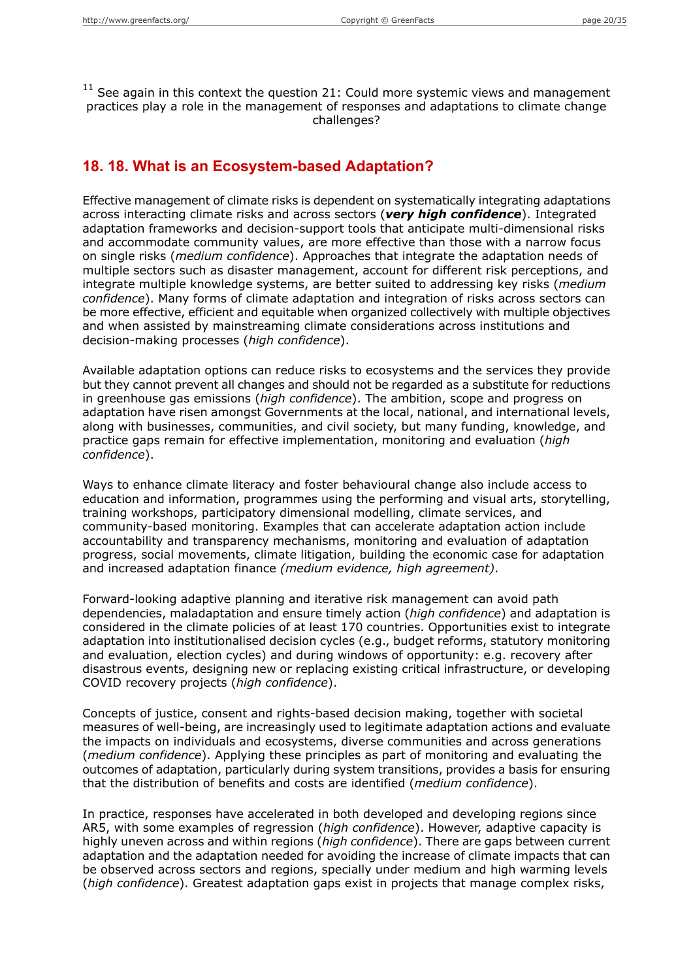$11$  See again in this context the question 21: Could more systemic views and management practices play a role in the management of responses and adaptations to climate change challenges?

#### **18. 18. What is an Ecosystem-based Adaptation?**

Effective management of climate risks is dependent on systematically integrating adaptations across interacting climate risks and across sectors (*very high confidence*). Integrated adaptation frameworks and decision-support tools that anticipate multi-dimensional risks and accommodate community values, are more effective than those with a narrow focus on single risks (*medium confidence*). Approaches that integrate the adaptation needs of multiple sectors such as disaster management, account for different risk perceptions, and integrate multiple knowledge systems, are better suited to addressing key risks (*medium confidence*). Many forms of climate adaptation and integration of risks across sectors can be more effective, efficient and equitable when organized collectively with multiple objectives and when assisted by mainstreaming climate considerations across institutions and decision-making processes (*high confidence*).

Available adaptation options can reduce risks to ecosystems and the services they provide but they cannot prevent all changes and should not be regarded as a substitute for reductions in greenhouse gas emissions (*high confidence*). The ambition, scope and progress on adaptation have risen amongst Governments at the local, national, and international levels, along with businesses, communities, and civil society, but many funding, knowledge, and practice gaps remain for effective implementation, monitoring and evaluation (*high confidence*).

Ways to enhance climate literacy and foster behavioural change also include access to education and information, programmes using the performing and visual arts, storytelling, training workshops, participatory dimensional modelling, climate services, and community-based monitoring. Examples that can accelerate adaptation action include accountability and transparency mechanisms, monitoring and evaluation of adaptation progress, social movements, climate litigation, building the economic case for adaptation and increased adaptation finance *(medium evidence, high agreement)*.

Forward-looking adaptive planning and iterative risk management can avoid path dependencies, maladaptation and ensure timely action (*high confidence*) and adaptation is considered in the climate policies of at least 170 countries. Opportunities exist to integrate adaptation into institutionalised decision cycles (e.g., budget reforms, statutory monitoring and evaluation, election cycles) and during windows of opportunity: e.g. recovery after disastrous events, designing new or replacing existing critical infrastructure, or developing COVID recovery projects (*high confidence*).

Concepts of justice, consent and rights-based decision making, together with societal measures of well-being, are increasingly used to legitimate adaptation actions and evaluate the impacts on individuals and ecosystems, diverse communities and across generations (*medium confidence*). Applying these principles as part of monitoring and evaluating the outcomes of adaptation, particularly during system transitions, provides a basis for ensuring that the distribution of benefits and costs are identified (*medium confidence*).

In practice, responses have accelerated in both developed and developing regions since AR5, with some examples of regression (*high confidence*). However, adaptive capacity is highly uneven across and within regions (*high confidence*). There are gaps between current adaptation and the adaptation needed for avoiding the increase of climate impacts that can be observed across sectors and regions, specially under medium and high warming levels (*high confidence*). Greatest adaptation gaps exist in projects that manage complex risks,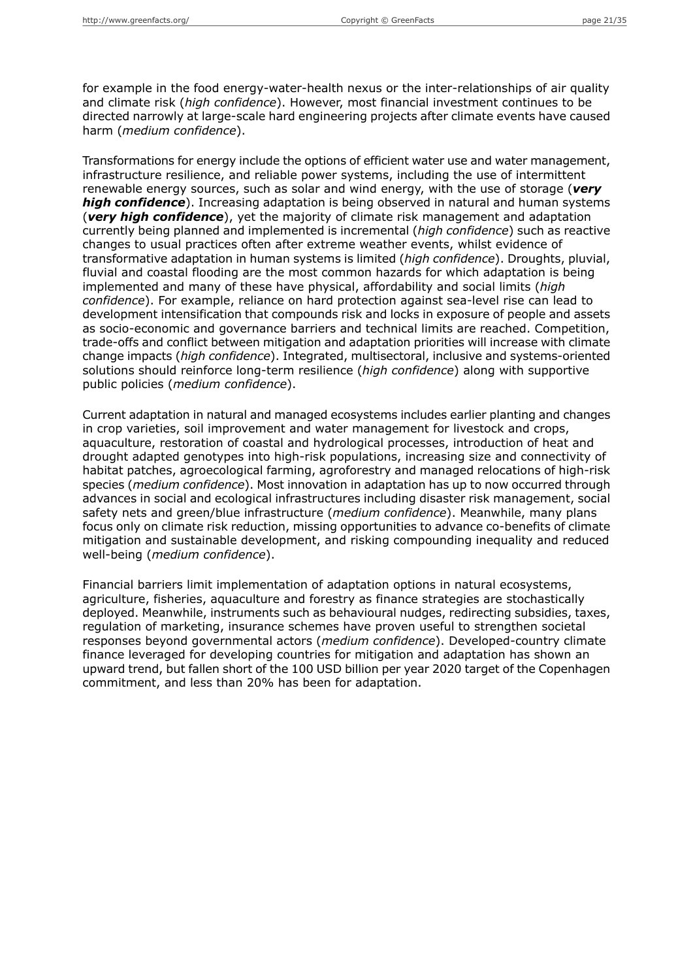for example in the food energy-water-health nexus or the inter-relationships of air quality and climate risk (*high confidence*). However, most financial investment continues to be directed narrowly at large-scale hard engineering projects after climate events have caused harm (*medium confidence*).

Transformations for energy include the options of efficient water use and water management, infrastructure resilience, and reliable power systems, including the use of intermittent renewable energy sources, such as solar and wind energy, with the use of storage (*very high confidence*). Increasing adaptation is being observed in natural and human systems (*very high confidence*), yet the majority of climate risk management and adaptation currently being planned and implemented is incremental (*high confidence*) such as reactive changes to usual practices often after extreme weather events, whilst evidence of transformative adaptation in human systems is limited (*high confidence*). Droughts, pluvial, fluvial and coastal flooding are the most common hazards for which adaptation is being implemented and many of these have physical, affordability and social limits (*high confidence*). For example, reliance on hard protection against sea-level rise can lead to development intensification that compounds risk and locks in exposure of people and assets as socio-economic and governance barriers and technical limits are reached. Competition, trade-offs and conflict between mitigation and adaptation priorities will increase with climate change impacts (*high confidence*). Integrated, multisectoral, inclusive and systems-oriented solutions should reinforce long-term resilience (*high confidence*) along with supportive public policies (*medium confidence*).

Current adaptation in natural and managed ecosystems includes earlier planting and changes in crop varieties, soil improvement and water management for livestock and crops, aquaculture, restoration of coastal and hydrological processes, introduction of heat and drought adapted genotypes into high-risk populations, increasing size and connectivity of habitat patches, agroecological farming, agroforestry and managed relocations of high-risk species (*medium confidence*). Most innovation in adaptation has up to now occurred through advances in social and ecological infrastructures including disaster risk management, social safety nets and green/blue infrastructure (*medium confidence*). Meanwhile, many plans focus only on climate risk reduction, missing opportunities to advance co-benefits of climate mitigation and sustainable development, and risking compounding inequality and reduced well-being (*medium confidence*).

Financial barriers limit implementation of adaptation options in natural ecosystems, agriculture, fisheries, aquaculture and forestry as finance strategies are stochastically deployed. Meanwhile, instruments such as behavioural nudges, redirecting subsidies, taxes, regulation of marketing, insurance schemes have proven useful to strengthen societal responses beyond governmental actors (*medium confidence*). Developed-country climate finance leveraged for developing countries for mitigation and adaptation has shown an upward trend, but fallen short of the 100 USD billion per year 2020 target of the Copenhagen commitment, and less than 20% has been for adaptation.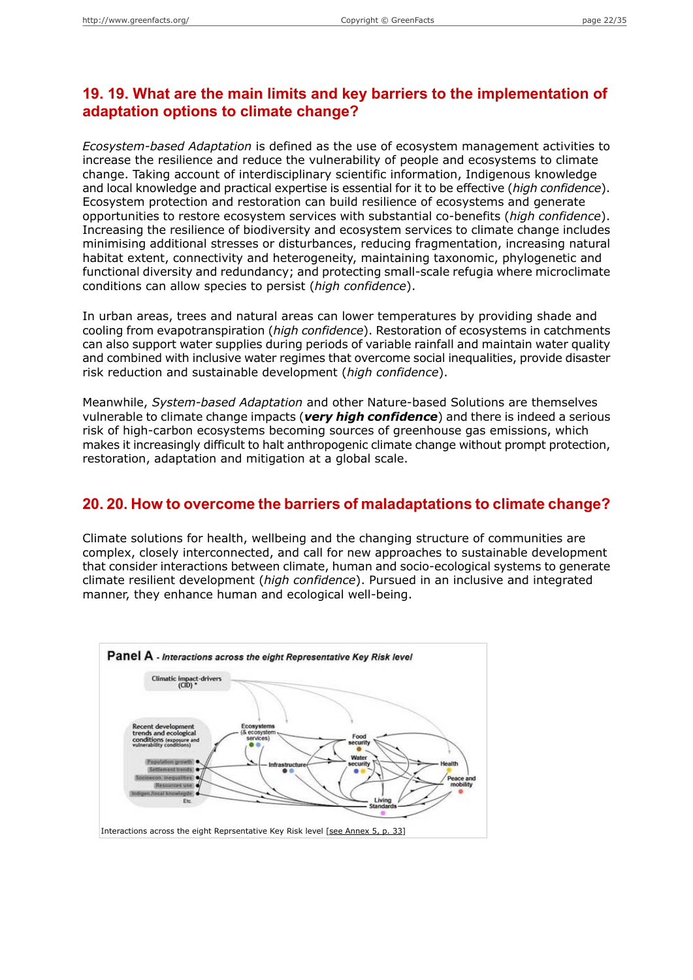## **19. 19. What are the main limits and key barriers to the implementation of adaptation options to climate change?**

*Ecosystem-based Adaptation* is defined as the use of ecosystem management activities to increase the resilience and reduce the vulnerability of people and ecosystems to climate change. Taking account of interdisciplinary scientific information, Indigenous knowledge and local knowledge and practical expertise is essential for it to be effective (*high confidence*). Ecosystem protection and restoration can build resilience of ecosystems and generate opportunities to restore ecosystem services with substantial co-benefits (*high confidence*). Increasing the resilience of biodiversity and ecosystem services to climate change includes minimising additional stresses or disturbances, reducing fragmentation, increasing natural habitat extent, connectivity and heterogeneity, maintaining taxonomic, phylogenetic and functional diversity and redundancy; and protecting small-scale refugia where microclimate conditions can allow species to persist (*high confidence*).

In urban areas, trees and natural areas can lower temperatures by providing shade and cooling from evapotranspiration (*high confidence*). Restoration of ecosystems in catchments can also support water supplies during periods of variable rainfall and maintain water quality and combined with inclusive water regimes that overcome social inequalities, provide disaster risk reduction and sustainable development (*high confidence*).

Meanwhile, *System-based Adaptation* and other Nature-based Solutions are themselves vulnerable to climate change impacts (*very high confidence*) and there is indeed a serious risk of high-carbon ecosystems becoming sources of greenhouse gas emissions, which makes it increasingly difficult to halt anthropogenic climate change without prompt protection, restoration, adaptation and mitigation at a global scale.

#### **20. 20. How to overcome the barriers of maladaptations to climate change?**

Climate solutions for health, wellbeing and the changing structure of communities are complex, closely interconnected, and call for new approaches to sustainable development that consider interactions between climate, human and socio-ecological systems to generate climate resilient development (*high confidence*). Pursued in an inclusive and integrated manner, they enhance human and ecological well-being.

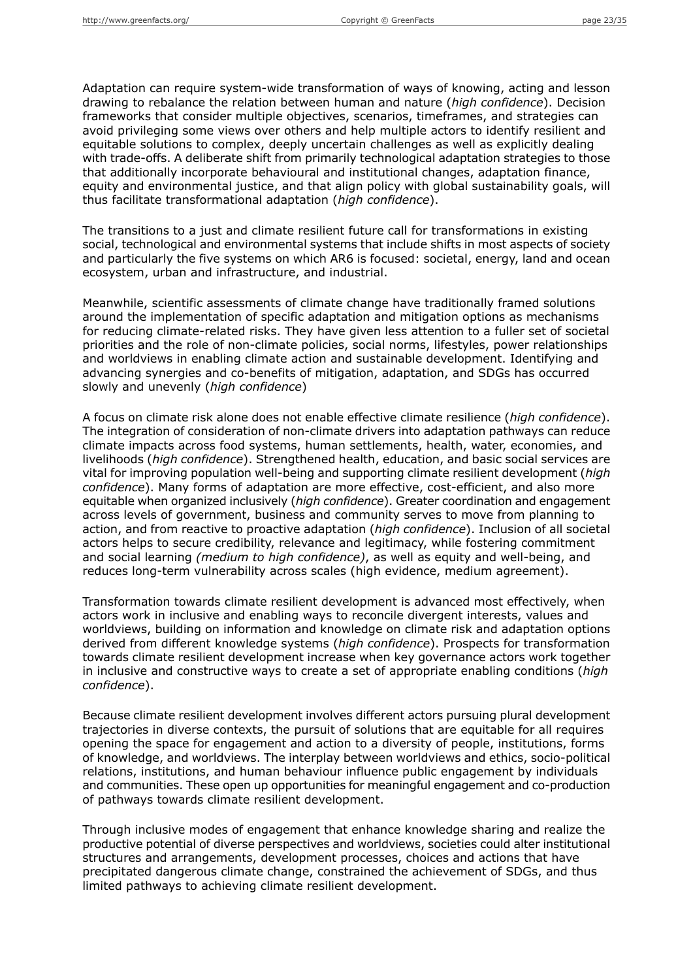Adaptation can require system-wide transformation of ways of knowing, acting and lesson drawing to rebalance the relation between human and nature (*high confidence*). Decision frameworks that consider multiple objectives, scenarios, timeframes, and strategies can avoid privileging some views over others and help multiple actors to identify resilient and equitable solutions to complex, deeply uncertain challenges as well as explicitly dealing with trade-offs. A deliberate shift from primarily technological adaptation strategies to those that additionally incorporate behavioural and institutional changes, adaptation finance, equity and environmental justice, and that align policy with global sustainability goals, will thus facilitate transformational adaptation (*high confidence*).

The transitions to a just and climate resilient future call for transformations in existing social, technological and environmental systems that include shifts in most aspects of society and particularly the five systems on which AR6 is focused: societal, energy, land and ocean ecosystem, urban and infrastructure, and industrial.

Meanwhile, scientific assessments of climate change have traditionally framed solutions around the implementation of specific adaptation and mitigation options as mechanisms for reducing climate-related risks. They have given less attention to a fuller set of societal priorities and the role of non-climate policies, social norms, lifestyles, power relationships and worldviews in enabling climate action and sustainable development. Identifying and advancing synergies and co-benefits of mitigation, adaptation, and SDGs has occurred slowly and unevenly (*high confidence*)

A focus on climate risk alone does not enable effective climate resilience (*high confidence*). The integration of consideration of non-climate drivers into adaptation pathways can reduce climate impacts across food systems, human settlements, health, water, economies, and livelihoods (*high confidence*). Strengthened health, education, and basic social services are vital for improving population well-being and supporting climate resilient development (*high confidence*). Many forms of adaptation are more effective, cost-efficient, and also more equitable when organized inclusively (*high confidence*). Greater coordination and engagement across levels of government, business and community serves to move from planning to action, and from reactive to proactive adaptation (*high confidence*). Inclusion of all societal actors helps to secure credibility, relevance and legitimacy, while fostering commitment and social learning *(medium to high confidence)*, as well as equity and well-being, and reduces long-term vulnerability across scales (high evidence, medium agreement).

Transformation towards climate resilient development is advanced most effectively, when actors work in inclusive and enabling ways to reconcile divergent interests, values and worldviews, building on information and knowledge on climate risk and adaptation options derived from different knowledge systems (*high confidence*). Prospects for transformation towards climate resilient development increase when key governance actors work together in inclusive and constructive ways to create a set of appropriate enabling conditions (*high confidence*).

Because climate resilient development involves different actors pursuing plural development trajectories in diverse contexts, the pursuit of solutions that are equitable for all requires opening the space for engagement and action to a diversity of people, institutions, forms of knowledge, and worldviews. The interplay between worldviews and ethics, socio-political relations, institutions, and human behaviour influence public engagement by individuals and communities. These open up opportunities for meaningful engagement and co-production of pathways towards climate resilient development.

Through inclusive modes of engagement that enhance knowledge sharing and realize the productive potential of diverse perspectives and worldviews, societies could alter institutional structures and arrangements, development processes, choices and actions that have precipitated dangerous climate change, constrained the achievement of SDGs, and thus limited pathways to achieving climate resilient development.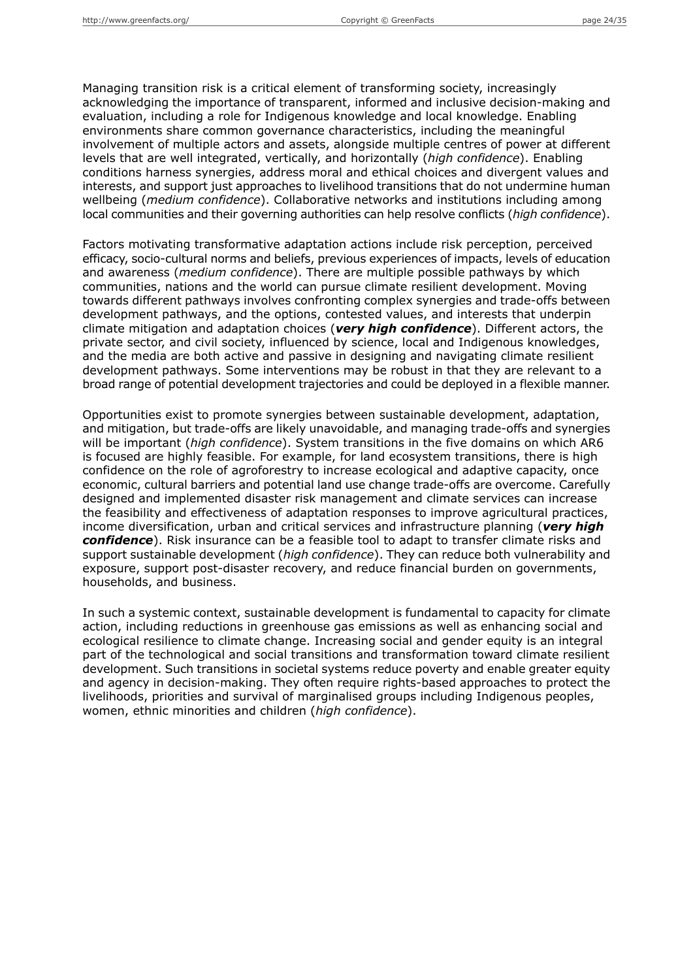Managing transition risk is a critical element of transforming society, increasingly acknowledging the importance of transparent, informed and inclusive decision-making and evaluation, including a role for Indigenous knowledge and local knowledge. Enabling environments share common governance characteristics, including the meaningful involvement of multiple actors and assets, alongside multiple centres of power at different levels that are well integrated, vertically, and horizontally (*high confidence*). Enabling conditions harness synergies, address moral and ethical choices and divergent values and interests, and support just approaches to livelihood transitions that do not undermine human wellbeing (*medium confidence*). Collaborative networks and institutions including among local communities and their governing authorities can help resolve conflicts (*high confidence*).

Factors motivating transformative adaptation actions include risk perception, perceived efficacy, socio-cultural norms and beliefs, previous experiences of impacts, levels of education and awareness (*medium confidence*). There are multiple possible pathways by which communities, nations and the world can pursue climate resilient development. Moving towards different pathways involves confronting complex synergies and trade-offs between development pathways, and the options, contested values, and interests that underpin climate mitigation and adaptation choices (*very high confidence*). Different actors, the private sector, and civil society, influenced by science, local and Indigenous knowledges, and the media are both active and passive in designing and navigating climate resilient development pathways. Some interventions may be robust in that they are relevant to a broad range of potential development trajectories and could be deployed in a flexible manner.

Opportunities exist to promote synergies between sustainable development, adaptation, and mitigation, but trade-offs are likely unavoidable, and managing trade-offs and synergies will be important (*high confidence*). System transitions in the five domains on which AR6 is focused are highly feasible. For example, for land ecosystem transitions, there is high confidence on the role of agroforestry to increase ecological and adaptive capacity, once economic, cultural barriers and potential land use change trade-offs are overcome. Carefully designed and implemented disaster risk management and climate services can increase the feasibility and effectiveness of adaptation responses to improve agricultural practices, income diversification, urban and critical services and infrastructure planning (*very high confidence*). Risk insurance can be a feasible tool to adapt to transfer climate risks and support sustainable development (*high confidence*). They can reduce both vulnerability and exposure, support post-disaster recovery, and reduce financial burden on governments, households, and business.

In such a systemic context, sustainable development is fundamental to capacity for climate action, including reductions in greenhouse gas emissions as well as enhancing social and ecological resilience to climate change. Increasing social and gender equity is an integral part of the technological and social transitions and transformation toward climate resilient development. Such transitions in societal systems reduce poverty and enable greater equity and agency in decision-making. They often require rights-based approaches to protect the livelihoods, priorities and survival of marginalised groups including Indigenous peoples, women, ethnic minorities and children (*high confidence*).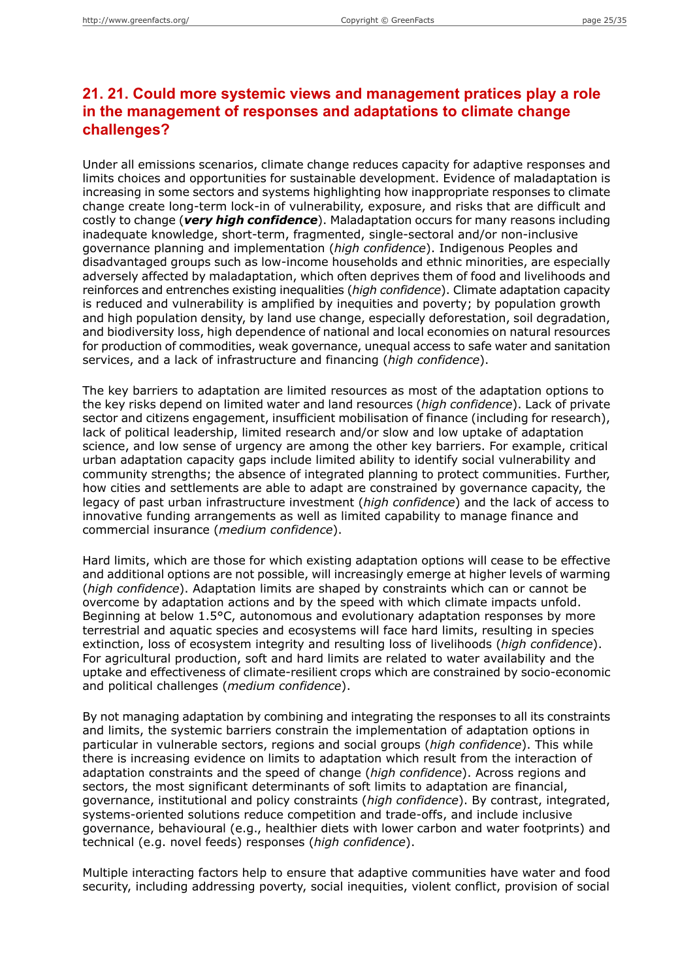## **21. 21. Could more systemic views and management pratices play a role in the management of responses and adaptations to climate change challenges?**

Under all emissions scenarios, climate change reduces capacity for adaptive responses and limits choices and opportunities for sustainable development. Evidence of maladaptation is increasing in some sectors and systems highlighting how inappropriate responses to climate change create long-term lock-in of vulnerability, exposure, and risks that are difficult and costly to change (*very high confidence*). Maladaptation occurs for many reasons including inadequate knowledge, short-term, fragmented, single-sectoral and/or non-inclusive governance planning and implementation (*high confidence*). Indigenous Peoples and disadvantaged groups such as low-income households and ethnic minorities, are especially adversely affected by maladaptation, which often deprives them of food and livelihoods and reinforces and entrenches existing inequalities (*high confidence*). Climate adaptation capacity is reduced and vulnerability is amplified by inequities and poverty; by population growth and high population density, by land use change, especially deforestation, soil degradation, and biodiversity loss, high dependence of national and local economies on natural resources for production of commodities, weak governance, unequal access to safe water and sanitation services, and a lack of infrastructure and financing (*high confidence*).

The key barriers to adaptation are limited resources as most of the adaptation options to the key risks depend on limited water and land resources (*high confidence*). Lack of private sector and citizens engagement, insufficient mobilisation of finance (including for research), lack of political leadership, limited research and/or slow and low uptake of adaptation science, and low sense of urgency are among the other key barriers. For example, critical urban adaptation capacity gaps include limited ability to identify social vulnerability and community strengths; the absence of integrated planning to protect communities. Further, how cities and settlements are able to adapt are constrained by governance capacity, the legacy of past urban infrastructure investment (*high confidence*) and the lack of access to innovative funding arrangements as well as limited capability to manage finance and commercial insurance (*medium confidence*).

Hard limits, which are those for which existing adaptation options will cease to be effective and additional options are not possible, will increasingly emerge at higher levels of warming (*high confidence*). Adaptation limits are shaped by constraints which can or cannot be overcome by adaptation actions and by the speed with which climate impacts unfold. Beginning at below 1.5°C, autonomous and evolutionary adaptation responses by more terrestrial and aquatic species and ecosystems will face hard limits, resulting in species extinction, loss of ecosystem integrity and resulting loss of livelihoods (*high confidence*). For agricultural production, soft and hard limits are related to water availability and the uptake and effectiveness of climate-resilient crops which are constrained by socio-economic and political challenges (*medium confidence*).

By not managing adaptation by combining and integrating the responses to all its constraints and limits, the systemic barriers constrain the implementation of adaptation options in particular in vulnerable sectors, regions and social groups (*high confidence*). This while there is increasing evidence on limits to adaptation which result from the interaction of adaptation constraints and the speed of change (*high confidence*). Across regions and sectors, the most significant determinants of soft limits to adaptation are financial, governance, institutional and policy constraints (*high confidence*). By contrast, integrated, systems-oriented solutions reduce competition and trade-offs, and include inclusive governance, behavioural (e.g., healthier diets with lower carbon and water footprints) and technical (e.g. novel feeds) responses (*high confidence*).

Multiple interacting factors help to ensure that adaptive communities have water and food security, including addressing poverty, social inequities, violent conflict, provision of social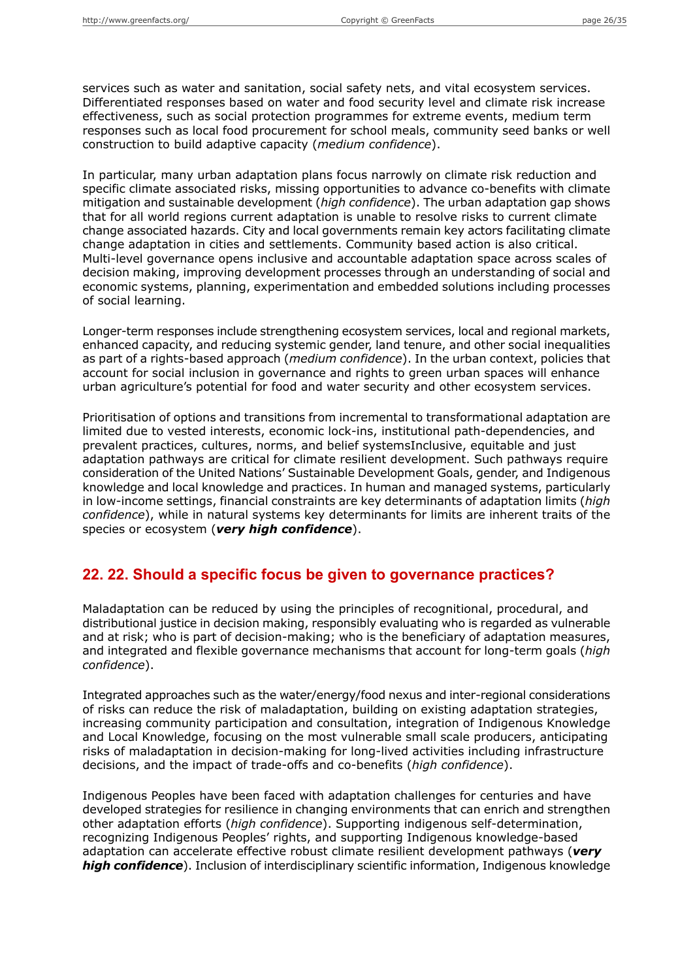services such as water and sanitation, social safety nets, and vital ecosystem services. Differentiated responses based on water and food security level and climate risk increase effectiveness, such as social protection programmes for extreme events, medium term responses such as local food procurement for school meals, community seed banks or well construction to build adaptive capacity (*medium confidence*).

In particular, many urban adaptation plans focus narrowly on climate risk reduction and specific climate associated risks, missing opportunities to advance co-benefits with climate mitigation and sustainable development (*high confidence*). The urban adaptation gap shows that for all world regions current adaptation is unable to resolve risks to current climate change associated hazards. City and local governments remain key actors facilitating climate change adaptation in cities and settlements. Community based action is also critical. Multi-level governance opens inclusive and accountable adaptation space across scales of decision making, improving development processes through an understanding of social and economic systems, planning, experimentation and embedded solutions including processes of social learning.

Longer-term responses include strengthening ecosystem services, local and regional markets, enhanced capacity, and reducing systemic gender, land tenure, and other social inequalities as part of a rights-based approach (*medium confidence*). In the urban context, policies that account for social inclusion in governance and rights to green urban spaces will enhance urban agriculture's potential for food and water security and other ecosystem services.

Prioritisation of options and transitions from incremental to transformational adaptation are limited due to vested interests, economic lock-ins, institutional path-dependencies, and prevalent practices, cultures, norms, and belief systemsInclusive, equitable and just adaptation pathways are critical for climate resilient development. Such pathways require consideration of the United Nations' Sustainable Development Goals, gender, and Indigenous knowledge and local knowledge and practices. In human and managed systems, particularly in low-income settings, financial constraints are key determinants of adaptation limits (*high confidence*), while in natural systems key determinants for limits are inherent traits of the species or ecosystem (*very high confidence*).

#### **22. 22. Should a specific focus be given to governance practices?**

Maladaptation can be reduced by using the principles of recognitional, procedural, and distributional justice in decision making, responsibly evaluating who is regarded as vulnerable and at risk; who is part of decision-making; who is the beneficiary of adaptation measures, and integrated and flexible governance mechanisms that account for long-term goals (*high confidence*).

Integrated approaches such as the water/energy/food nexus and inter-regional considerations of risks can reduce the risk of maladaptation, building on existing adaptation strategies, increasing community participation and consultation, integration of Indigenous Knowledge and Local Knowledge, focusing on the most vulnerable small scale producers, anticipating risks of maladaptation in decision-making for long-lived activities including infrastructure decisions, and the impact of trade-offs and co-benefits (*high confidence*).

Indigenous Peoples have been faced with adaptation challenges for centuries and have developed strategies for resilience in changing environments that can enrich and strengthen other adaptation efforts (*high confidence*). Supporting indigenous self-determination, recognizing Indigenous Peoples' rights, and supporting Indigenous knowledge-based adaptation can accelerate effective robust climate resilient development pathways (*very high confidence*). Inclusion of interdisciplinary scientific information, Indigenous knowledge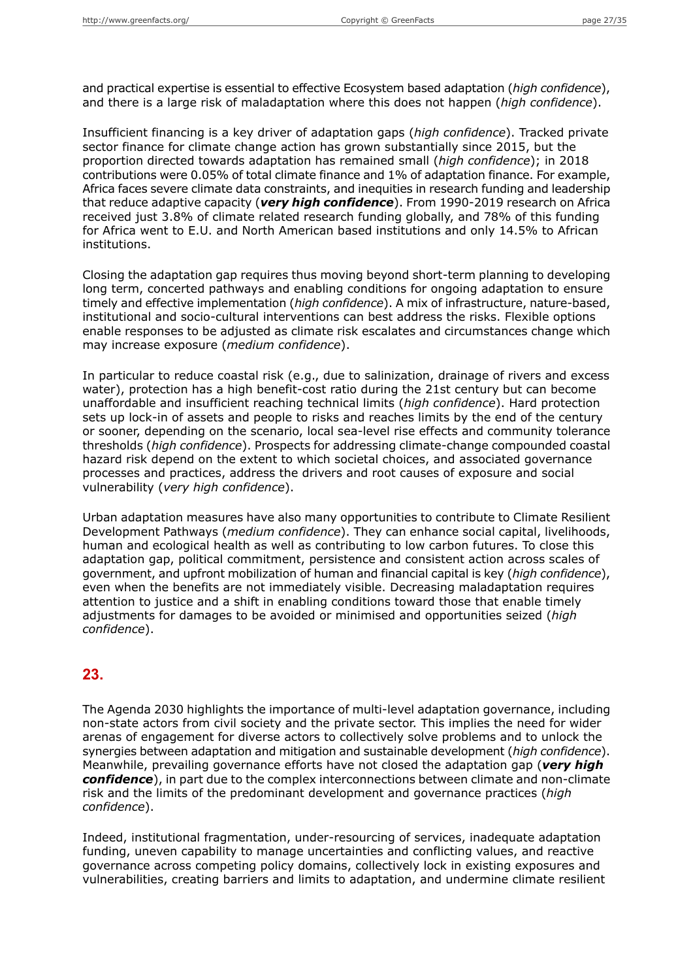and practical expertise is essential to effective Ecosystem based adaptation (*high confidence*), and there is a large risk of maladaptation where this does not happen (*high confidence*).

Insufficient financing is a key driver of adaptation gaps (*high confidence*). Tracked private sector finance for climate change action has grown substantially since 2015, but the proportion directed towards adaptation has remained small (*high confidence*); in 2018 contributions were 0.05% of total climate finance and 1% of adaptation finance. For example, Africa faces severe climate data constraints, and inequities in research funding and leadership that reduce adaptive capacity (*very high confidence*). From 1990-2019 research on Africa received just 3.8% of climate related research funding globally, and 78% of this funding for Africa went to E.U. and North American based institutions and only 14.5% to African institutions.

Closing the adaptation gap requires thus moving beyond short-term planning to developing long term, concerted pathways and enabling conditions for ongoing adaptation to ensure timely and effective implementation (*high confidence*). A mix of infrastructure, nature-based, institutional and socio-cultural interventions can best address the risks. Flexible options enable responses to be adjusted as climate risk escalates and circumstances change which may increase exposure (*medium confidence*).

In particular to reduce coastal risk (e.g., due to salinization, drainage of rivers and excess water), protection has a high benefit-cost ratio during the 21st century but can become unaffordable and insufficient reaching technical limits (*high confidence*). Hard protection sets up lock-in of assets and people to risks and reaches limits by the end of the century or sooner, depending on the scenario, local sea-level rise effects and community tolerance thresholds (*high confidence*). Prospects for addressing climate-change compounded coastal hazard risk depend on the extent to which societal choices, and associated governance processes and practices, address the drivers and root causes of exposure and social vulnerability (*very high confidence*).

Urban adaptation measures have also many opportunities to contribute to Climate Resilient Development Pathways (*medium confidence*). They can enhance social capital, livelihoods, human and ecological health as well as contributing to low carbon futures. To close this adaptation gap, political commitment, persistence and consistent action across scales of government, and upfront mobilization of human and financial capital is key (*high confidence*), even when the benefits are not immediately visible. Decreasing maladaptation requires attention to justice and a shift in enabling conditions toward those that enable timely adjustments for damages to be avoided or minimised and opportunities seized (*high confidence*).

### **23.**

The Agenda 2030 highlights the importance of multi-level adaptation governance, including non-state actors from civil society and the private sector. This implies the need for wider arenas of engagement for diverse actors to collectively solve problems and to unlock the synergies between adaptation and mitigation and sustainable development (*high confidence*). Meanwhile, prevailing governance efforts have not closed the adaptation gap (*very high confidence*), in part due to the complex interconnections between climate and non-climate risk and the limits of the predominant development and governance practices (*high confidence*).

Indeed, institutional fragmentation, under-resourcing of services, inadequate adaptation funding, uneven capability to manage uncertainties and conflicting values, and reactive governance across competing policy domains, collectively lock in existing exposures and vulnerabilities, creating barriers and limits to adaptation, and undermine climate resilient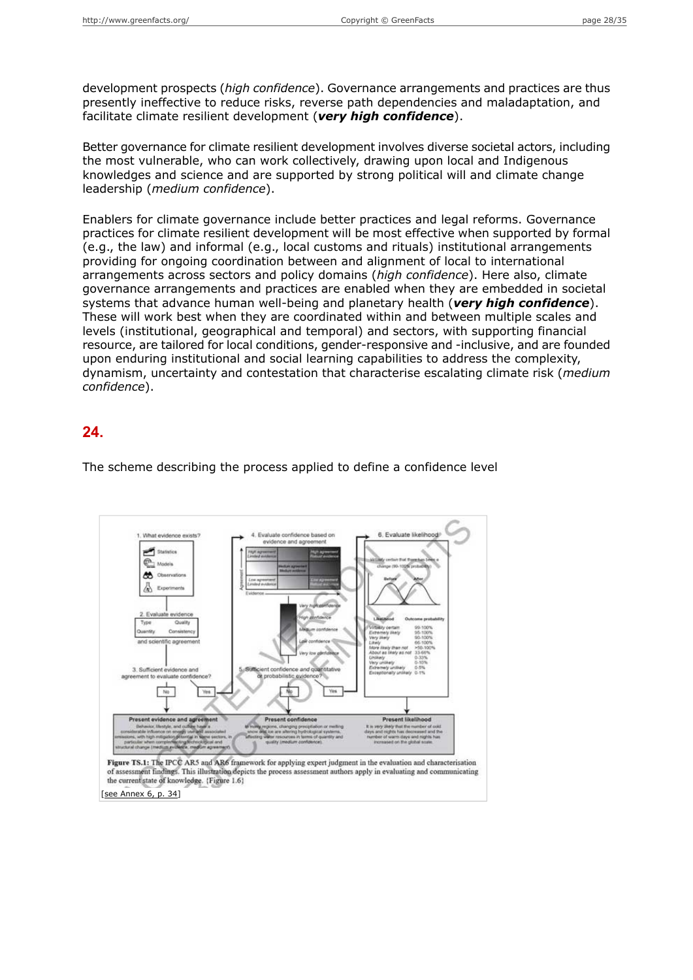development prospects (*high confidence*). Governance arrangements and practices are thus presently ineffective to reduce risks, reverse path dependencies and maladaptation, and facilitate climate resilient development (*very high confidence*).

Better governance for climate resilient development involves diverse societal actors, including the most vulnerable, who can work collectively, drawing upon local and Indigenous knowledges and science and are supported by strong political will and climate change leadership (*medium confidence*).

Enablers for climate governance include better practices and legal reforms. Governance practices for climate resilient development will be most effective when supported by formal (e.g., the law) and informal (e.g., local customs and rituals) institutional arrangements providing for ongoing coordination between and alignment of local to international arrangements across sectors and policy domains (*high confidence*). Here also, climate governance arrangements and practices are enabled when they are embedded in societal systems that advance human well-being and planetary health (*very high confidence*). These will work best when they are coordinated within and between multiple scales and levels (institutional, geographical and temporal) and sectors, with supporting financial resource, are tailored for local conditions, gender-responsive and -inclusive, and are founded upon enduring institutional and social learning capabilities to address the complexity, dynamism, uncertainty and contestation that characterise escalating climate risk (*medium confidence*).

#### **24.**

**B. Fugluate likelih** e M 怂 ent likeli Figure TS.1: The IPCC AR5 and AR6 framework for applying expert judgment in the evaluation and characterisation of assessment findings. This illustration depicts the process assessment authors apply in evaluating and communicating the current state of knowledge. {Figure 1.6} [see [Annex](#page-33-0) 6, p. 34]

The scheme describing the process applied to define a confidence level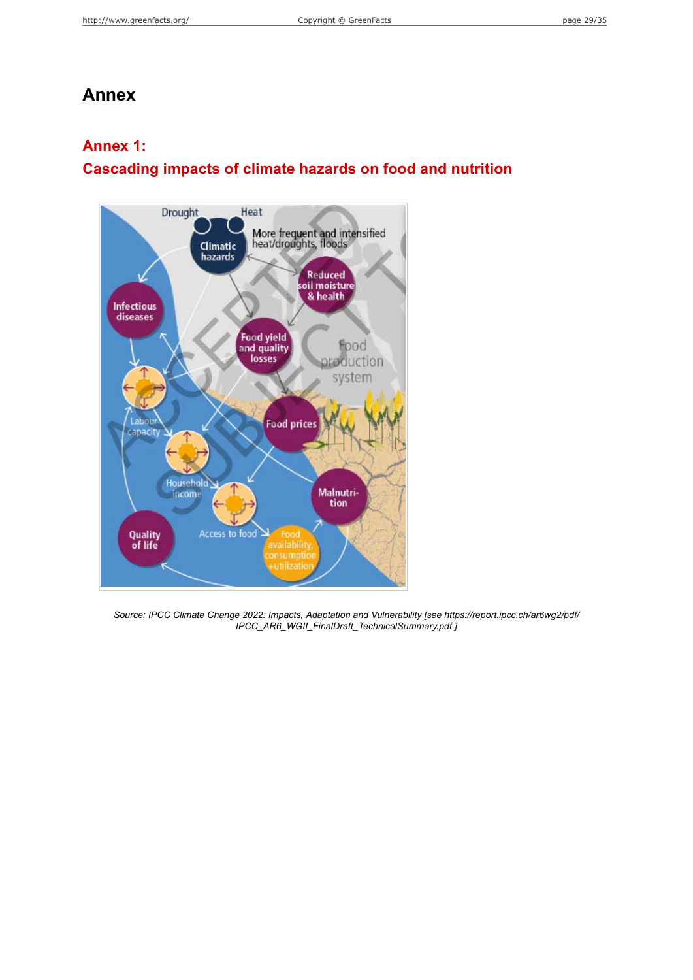## **Annex**

#### <span id="page-28-0"></span>**Annex 1:**

## **Cascading impacts of climate hazards on food and nutrition**



*Source: IPCC Climate Change 2022: Impacts, Adaptation and Vulnerability [see https://report.ipcc.ch/ar6wg2/pdf/ IPCC\_AR6\_WGII\_FinalDraft\_TechnicalSummary.pdf ]*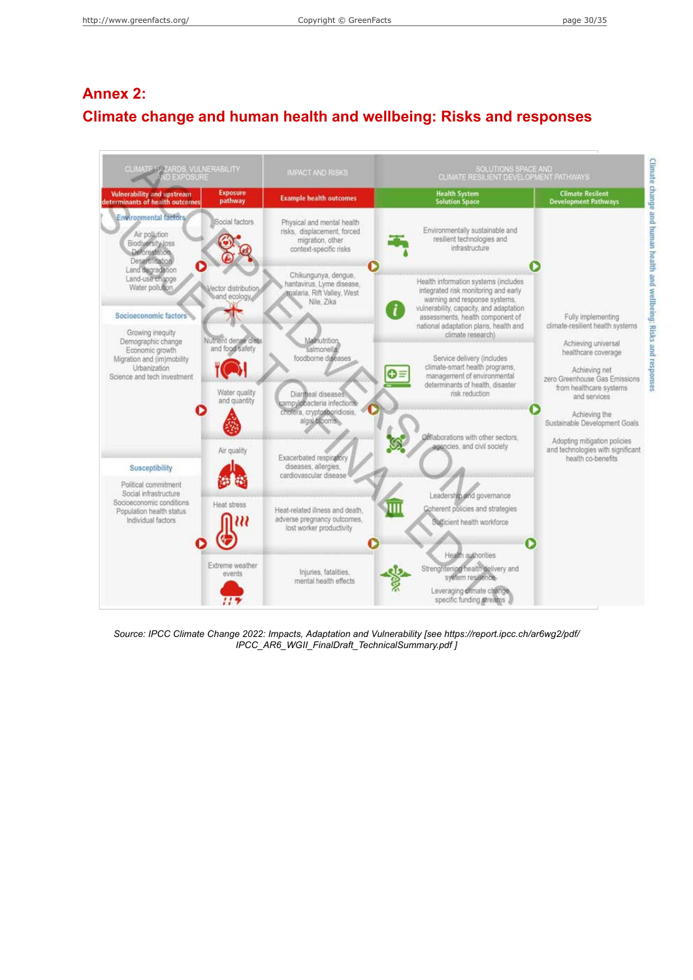# <span id="page-29-0"></span>**Annex 2: Climate change and human health and wellbeing: Risks and responses**

| CLIMATE 15 ZARDS, VULNERABILITY<br><b>ND EXPOSURE</b>                                                                       |                                                                           | <b>IMPACT AND RISKS</b>                                                                                                  | SOLUTIONS SPACE AND<br>CLIMATE RESILIENT DEVELOPMENT PATHWAYS                                                                                                                                                                                               |                                                                                                                                           |
|-----------------------------------------------------------------------------------------------------------------------------|---------------------------------------------------------------------------|--------------------------------------------------------------------------------------------------------------------------|-------------------------------------------------------------------------------------------------------------------------------------------------------------------------------------------------------------------------------------------------------------|-------------------------------------------------------------------------------------------------------------------------------------------|
| Vulnerability and upstream<br>determinants of health outcomes                                                               | <b>Exposure</b><br>pathway                                                | <b>Example health outcomes</b>                                                                                           | <b>Health System</b><br><b>Solution Space</b>                                                                                                                                                                                                               | <b>Climate Resilent</b><br><b>Development Pathways</b>                                                                                    |
| <b>Environmental factors</b><br>Air pollution<br>Biodiversity loss<br>Deforestation.<br>Desartification                     | Social factors                                                            | Physical and mental health<br>risks, displacement, forced<br>migration, other<br>context-specific risks                  | Environmentally sustainable and<br>resilient technologies and<br>infrastructure                                                                                                                                                                             |                                                                                                                                           |
| Land degradation<br>Land-use change<br>Water pollution,<br>Socioeconomic factors<br>Growing inequity                        | Vector distribution<br>and ecology                                        | Chikungunya, dengue,<br>hantavirus, Lyme disease,<br>malaria, Rift Valley, West<br>Nile, Zika                            | Health information systems (includes<br>integrated risk monitoring and early<br>warning and response systems.<br>vulnerability, capacity, and adaptation<br>assessments, health component of<br>national adaptation plans, health and<br>climate research). | Fully implementing<br>climate-resilient health systems                                                                                    |
| Demographic change<br>Economic growth<br>Migration and (im)mobility<br>Urbanization<br>Science and tech investment          | Nutrient dense diets<br>and food safety.<br>Water quality<br>and quantity | Malmutrition,<br>salmonella<br>foodborne diseases<br>Diarmeal diseases<br>campylobacteria infections                     | Service delivery (includes)<br>climate-smart health programs,<br>$O =$<br>management of environmental<br>determinants of health, disaster<br>risk reduction                                                                                                 | Achieving universal<br>healthcare coverage<br>Achieving net<br>zero Greenhouse Gas Emissions<br>from healthcare systems<br>and services   |
| <b>Susceptibility</b>                                                                                                       | Air quality                                                               | cholera, cryptosporidiosis,<br>algal blooms<br>Exacerbated respiratory<br>diseases, allergies,<br>cardiovascular disease | Collaborations with other sectors.<br>agencies, and civil society                                                                                                                                                                                           | Achieving the<br>Sustainable Development Goals<br>Adopting mitigation policies<br>and technologies with significant<br>health co-benefits |
| Political commitment<br>Social infrastructure<br>Socioeconomic conditions<br>Population health status<br>Individual factors | <b>Heat stress</b>                                                        | Heat-related illness and death.<br>adverse pregnancy outcomes,<br>lost worker productivity                               | Leadership and governance<br>Coherent policies and strategies<br>Sufficient health workforce                                                                                                                                                                |                                                                                                                                           |
|                                                                                                                             | Extreme weather<br>events                                                 | Injuries, fatalities,<br>mental health effects.                                                                          | Health authorities<br>Strenghtening health delivery and<br>system resilience.<br>Leveraging climate change<br>specific funding streams                                                                                                                      |                                                                                                                                           |

*Source: IPCC Climate Change 2022: Impacts, Adaptation and Vulnerability [see https://report.ipcc.ch/ar6wg2/pdf/ IPCC\_AR6\_WGII\_FinalDraft\_TechnicalSummary.pdf ]*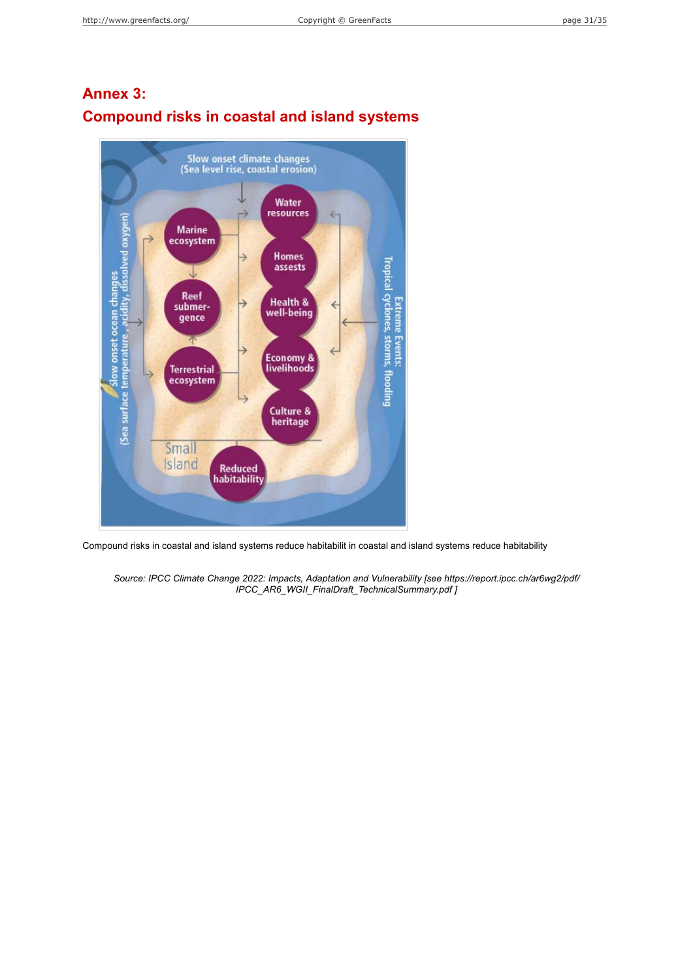

## <span id="page-30-0"></span>**Annex 3: Compound risks in coastal and island systems**

Compound risks in coastal and island systems reduce habitabilit in coastal and island systems reduce habitability

*Source: IPCC Climate Change 2022: Impacts, Adaptation and Vulnerability [see https://report.ipcc.ch/ar6wg2/pdf/ IPCC\_AR6\_WGII\_FinalDraft\_TechnicalSummary.pdf ]*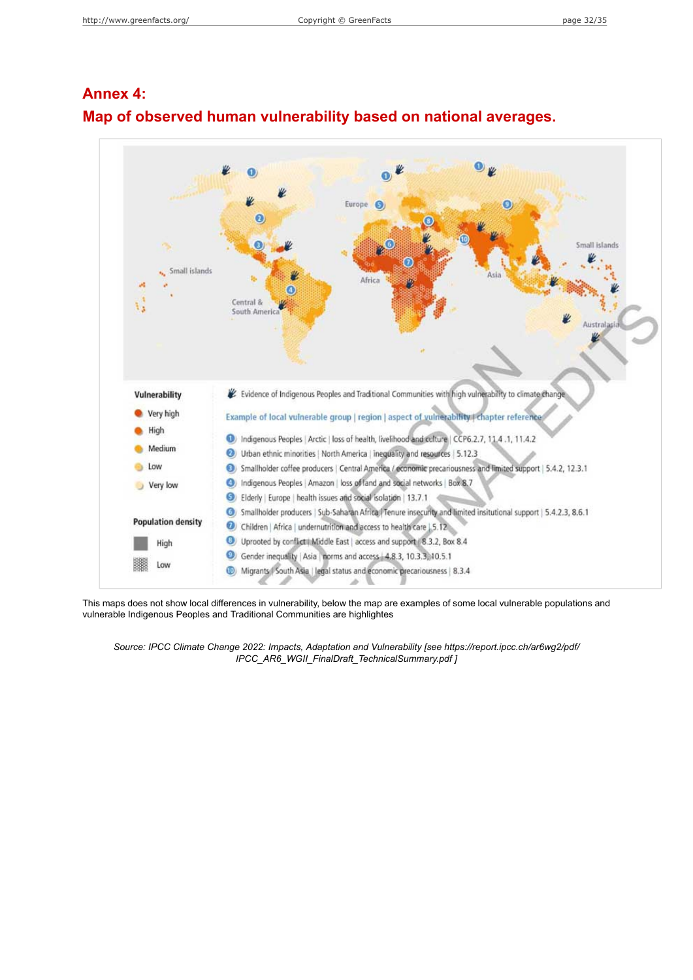

## <span id="page-31-0"></span>**Annex 4: Map of observed human vulnerability based on national averages.**

This maps does not show local differences in vulnerability, below the map are examples of some local vulnerable populations and vulnerable Indigenous Peoples and Traditional Communities are highlightes

*Source: IPCC Climate Change 2022: Impacts, Adaptation and Vulnerability [see https://report.ipcc.ch/ar6wg2/pdf/ IPCC\_AR6\_WGII\_FinalDraft\_TechnicalSummary.pdf ]*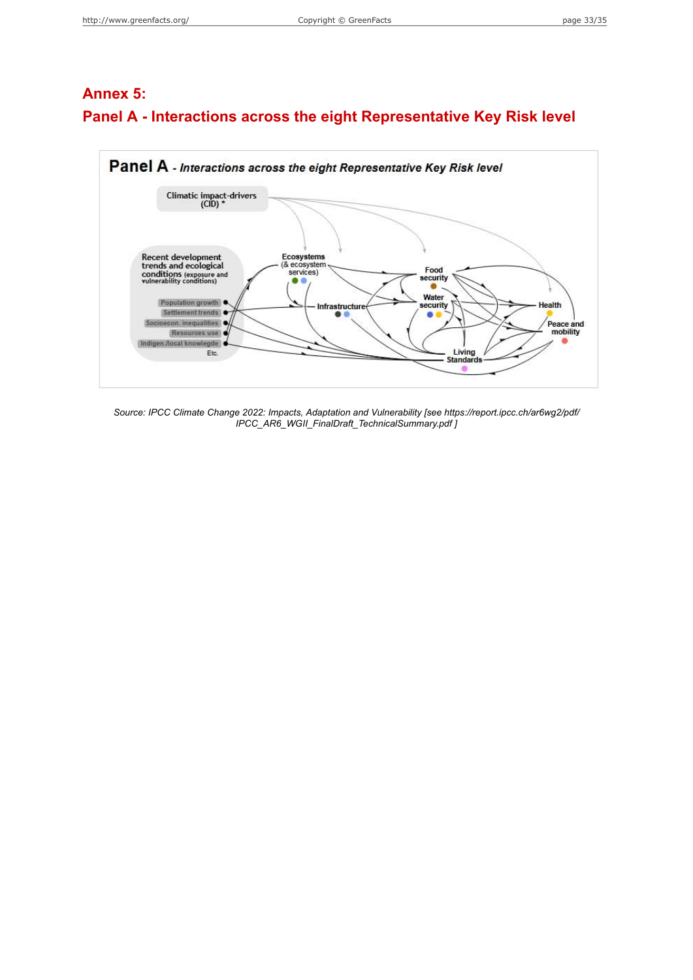## <span id="page-32-0"></span>**Annex 5: Panel A - Interactions across the eight Representative Key Risk level**



*Source: IPCC Climate Change 2022: Impacts, Adaptation and Vulnerability [see https://report.ipcc.ch/ar6wg2/pdf/ IPCC\_AR6\_WGII\_FinalDraft\_TechnicalSummary.pdf ]*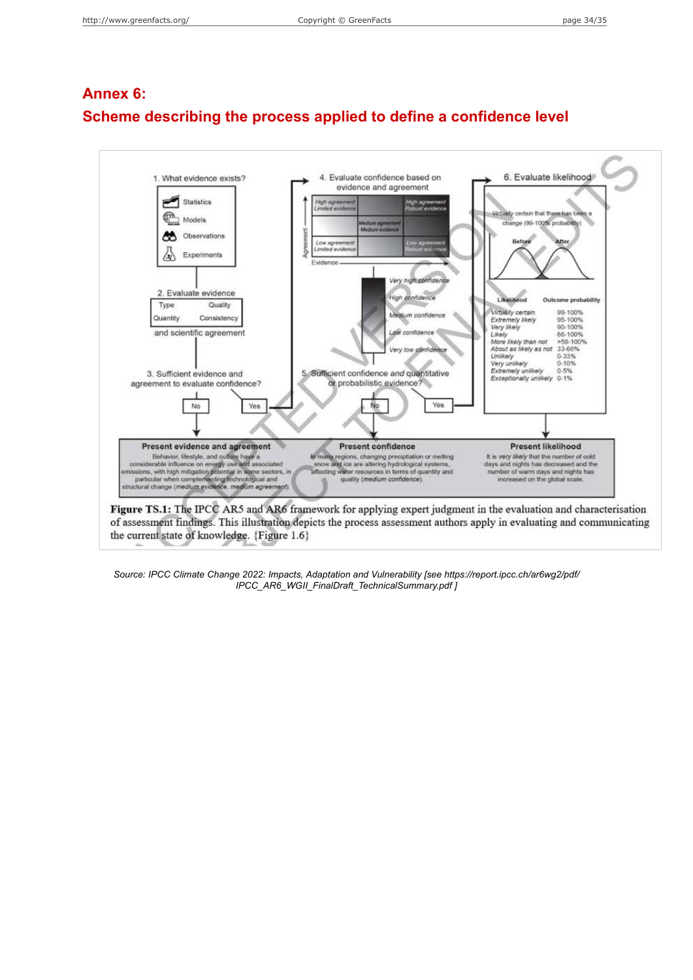# <span id="page-33-0"></span>**Annex 6: Scheme describing the process applied to define a confidence level**



the current state of knowledge. {Figure 1.6}

*Source: IPCC Climate Change 2022: Impacts, Adaptation and Vulnerability [see https://report.ipcc.ch/ar6wg2/pdf/ IPCC\_AR6\_WGII\_FinalDraft\_TechnicalSummary.pdf ]*